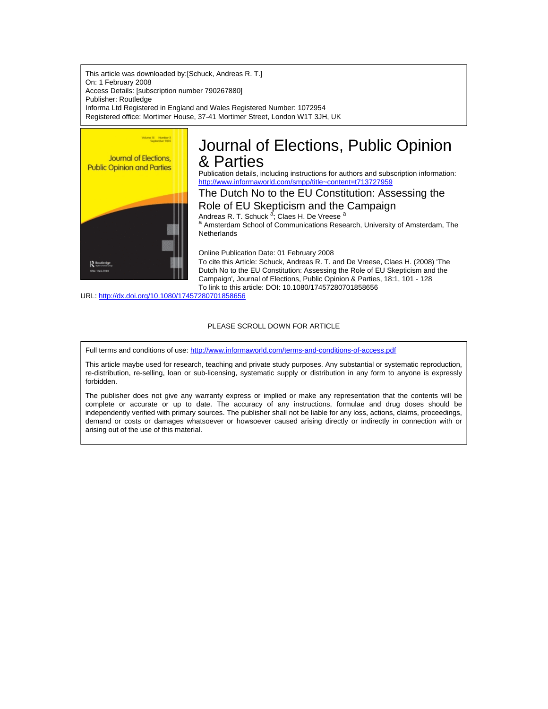This article was downloaded by:[Schuck, Andreas R. T.] On: 1 February 2008 Access Details: [subscription number 790267880] Publisher: Routledge Informa Ltd Registered in England and Wales Registered Number: 1072954 Registered office: Mortimer House, 37-41 Mortimer Street, London W1T 3JH, UK



# Journal of Elections, Public Opinion & Parties

Publication details, including instructions for authors and subscription information: <http://www.informaworld.com/smpp/title~content=t713727959>

The Dutch No to the EU Constitution: Assessing the Role of EU Skepticism and the Campaign Andreas R. T. Schuck <sup>a</sup>; Claes H. De Vreese <sup>a</sup>

<sup>a</sup> Amsterdam School of Communications Research, University of Amsterdam, The **Netherlands** 

Online Publication Date: 01 February 2008 To cite this Article: Schuck, Andreas R. T. and De Vreese, Claes H. (2008) 'The Dutch No to the EU Constitution: Assessing the Role of EU Skepticism and the Campaign', Journal of Elections, Public Opinion & Parties, 18:1, 101 - 128 To link to this article: DOI: 10.1080/17457280701858656

URL: <http://dx.doi.org/10.1080/17457280701858656>

# PLEASE SCROLL DOWN FOR ARTICLE

Full terms and conditions of use: <http://www.informaworld.com/terms-and-conditions-of-access.pdf>

This article maybe used for research, teaching and private study purposes. Any substantial or systematic reproduction, re-distribution, re-selling, loan or sub-licensing, systematic supply or distribution in any form to anyone is expressly forbidden.

The publisher does not give any warranty express or implied or make any representation that the contents will be complete or accurate or up to date. The accuracy of any instructions, formulae and drug doses should be independently verified with primary sources. The publisher shall not be liable for any loss, actions, claims, proceedings, demand or costs or damages whatsoever or howsoever caused arising directly or indirectly in connection with or arising out of the use of this material.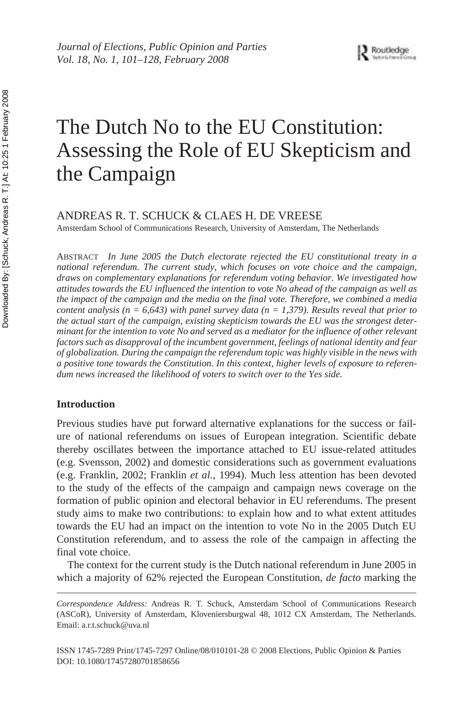# The Dutch No to the EU Constitution: Assessing the Role of EU Skepticism and the Campaign

# ANDREAS R. T. SCHUCK & CLAES H. DE VREESE

Amsterdam School of Communications Research, University of Amsterdam, The Netherlands

ABSTRACT *In June 2005 the Dutch electorate rejected the EU constitutional treaty in a national referendum. The current study, which focuses on vote choice and the campaign, draws on complementary explanations for referendum voting behavior. We investigated how attitudes towards the EU influenced the intention to vote No ahead of the campaign as well as the impact of the campaign and the media on the final vote. Therefore, we combined a media content analysis (n = 6,643) with panel survey data (n = 1,379). Results reveal that prior to the actual start of the campaign, existing skepticism towards the EU was the strongest determinant for the intention to vote No and served as a mediator for the influence of other relevant factors such as disapproval of the incumbent government, feelings of national identity and fear of globalization. During the campaign the referendum topic was highly visible in the news with a positive tone towards the Constitution. In this context, higher levels of exposure to referendum news increased the likelihood of voters to switch over to the Yes side.*

# **Introduction**

Previous studies have put forward alternative explanations for the success or failure of national referendums on issues of European integration. Scientific debate thereby oscillates between the importance attached to EU issue-related attitudes (e.g. Svensson, 2002) and domestic considerations such as government evaluations (e.g. Franklin, 2002; Franklin *et al.*, 1994). Much less attention has been devoted to the study of the effects of the campaign and campaign news coverage on the formation of public opinion and electoral behavior in EU referendums. The present study aims to make two contributions: to explain how and to what extent attitudes towards the EU had an impact on the intention to vote No in the 2005 Dutch EU Constitution referendum, and to assess the role of the campaign in affecting the final vote choice.

The context for the current study is the Dutch national referendum in June 2005 in which a majority of 62% rejected the European Constitution, *de facto* marking the

*Correspondence Address:* Andreas R. T. Schuck, Amsterdam School of Communications Research (ASCoR), University of Amsterdam, Kloveniersburgwal 48, 1012 CX Amsterdam, The Netherlands. Email: a.r.t.schuck@uva.nl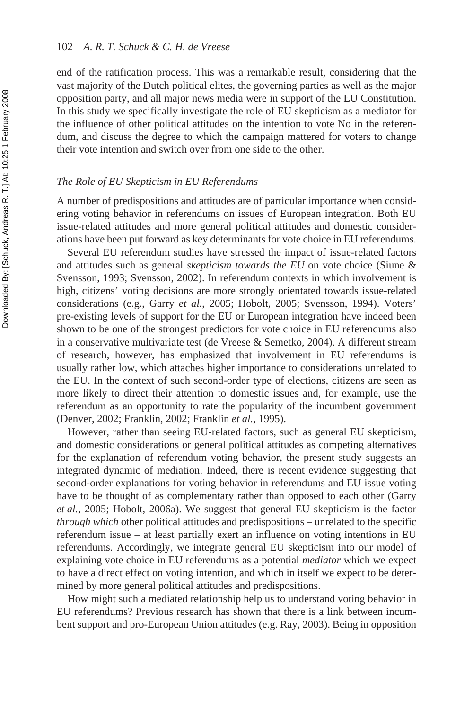end of the ratification process. This was a remarkable result, considering that the vast majority of the Dutch political elites, the governing parties as well as the major opposition party, and all major news media were in support of the EU Constitution. In this study we specifically investigate the role of EU skepticism as a mediator for the influence of other political attitudes on the intention to vote No in the referendum, and discuss the degree to which the campaign mattered for voters to change their vote intention and switch over from one side to the other.

# *The Role of EU Skepticism in EU Referendums*

A number of predispositions and attitudes are of particular importance when considering voting behavior in referendums on issues of European integration. Both EU issue-related attitudes and more general political attitudes and domestic considerations have been put forward as key determinants for vote choice in EU referendums.

Several EU referendum studies have stressed the impact of issue-related factors and attitudes such as general *skepticism towards the EU* on vote choice (Siune & Svensson, 1993; Svensson, 2002). In referendum contexts in which involvement is high, citizens' voting decisions are more strongly orientated towards issue-related considerations (e.g., Garry *et al.*, 2005; Hobolt, 2005; Svensson, 1994). Voters' pre-existing levels of support for the EU or European integration have indeed been shown to be one of the strongest predictors for vote choice in EU referendums also in a conservative multivariate test (de Vreese & Semetko, 2004). A different stream of research, however, has emphasized that involvement in EU referendums is usually rather low, which attaches higher importance to considerations unrelated to the EU. In the context of such second-order type of elections, citizens are seen as more likely to direct their attention to domestic issues and, for example, use the referendum as an opportunity to rate the popularity of the incumbent government (Denver, 2002; Franklin, 2002; Franklin *et al.*, 1995).

However, rather than seeing EU-related factors, such as general EU skepticism, and domestic considerations or general political attitudes as competing alternatives for the explanation of referendum voting behavior, the present study suggests an integrated dynamic of mediation. Indeed, there is recent evidence suggesting that second-order explanations for voting behavior in referendums and EU issue voting have to be thought of as complementary rather than opposed to each other (Garry *et al.*, 2005; Hobolt, 2006a). We suggest that general EU skepticism is the factor *through which* other political attitudes and predispositions – unrelated to the specific referendum issue – at least partially exert an influence on voting intentions in EU referendums. Accordingly, we integrate general EU skepticism into our model of explaining vote choice in EU referendums as a potential *mediator* which we expect to have a direct effect on voting intention, and which in itself we expect to be determined by more general political attitudes and predispositions.

How might such a mediated relationship help us to understand voting behavior in EU referendums? Previous research has shown that there is a link between incumbent support and pro-European Union attitudes (e.g. Ray, 2003). Being in opposition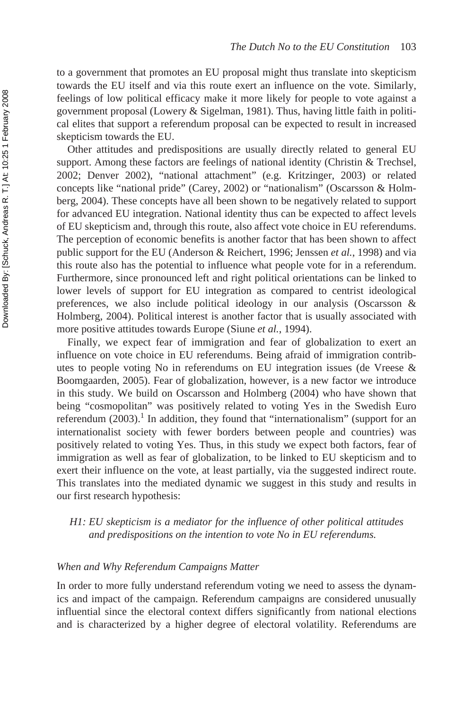to a government that promotes an EU proposal might thus translate into skepticism towards the EU itself and via this route exert an influence on the vote. Similarly, feelings of low political efficacy make it more likely for people to vote against a government proposal (Lowery & Sigelman, 1981). Thus, having little faith in political elites that support a referendum proposal can be expected to result in increased skepticism towards the EU.

Other attitudes and predispositions are usually directly related to general EU support. Among these factors are feelings of national identity (Christin & Trechsel, 2002; Denver 2002), "national attachment" (e.g. Kritzinger, 2003) or related concepts like "national pride" (Carey, 2002) or "nationalism" (Oscarsson & Holmberg, 2004). These concepts have all been shown to be negatively related to support for advanced EU integration. National identity thus can be expected to affect levels of EU skepticism and, through this route, also affect vote choice in EU referendums. The perception of economic benefits is another factor that has been shown to affect public support for the EU (Anderson & Reichert, 1996; Jenssen *et al.*, 1998) and via this route also has the potential to influence what people vote for in a referendum. Furthermore, since pronounced left and right political orientations can be linked to lower levels of support for EU integration as compared to centrist ideological preferences, we also include political ideology in our analysis (Oscarsson & Holmberg, 2004). Political interest is another factor that is usually associated with more positive attitudes towards Europe (Siune *et al.*, 1994).

Finally, we expect fear of immigration and fear of globalization to exert an influence on vote choice in EU referendums. Being afraid of immigration contributes to people voting No in referendums on EU integration issues (de Vreese & Boomgaarden, 2005). Fear of globalization, however, is a new factor we introduce in this study. We build on Oscarsson and Holmberg (2004) who have shown that being "cosmopolitan" was positively related to voting Yes in the Swedish Euro referendum  $(2003)$ .<sup>1</sup> In addition, they found that "internationalism" (support for an internationalist society with fewer borders between people and countries) was positively related to voting Yes. Thus, in this study we expect both factors, fear of immigration as well as fear of globalization, to be linked to EU skepticism and to exert their influence on the vote, at least partially, via the suggested indirect route. This translates into the mediated dynamic we suggest in this study and results in our first research hypothesis:

# *H1: EU skepticism is a mediator for the influence of other political attitudes and predispositions on the intention to vote No in EU referendums.*

#### *When and Why Referendum Campaigns Matter*

In order to more fully understand referendum voting we need to assess the dynamics and impact of the campaign. Referendum campaigns are considered unusually influential since the electoral context differs significantly from national elections and is characterized by a higher degree of electoral volatility. Referendums are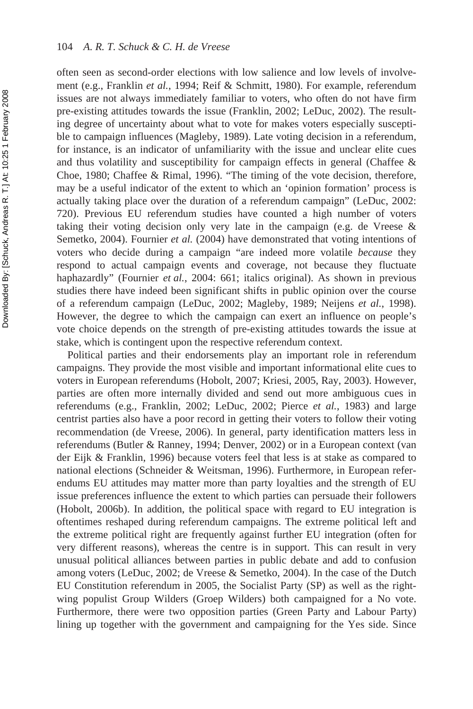often seen as second-order elections with low salience and low levels of involvement (e.g., Franklin *et al.*, 1994; Reif & Schmitt, 1980). For example, referendum issues are not always immediately familiar to voters, who often do not have firm pre-existing attitudes towards the issue (Franklin, 2002; LeDuc, 2002). The resulting degree of uncertainty about what to vote for makes voters especially susceptible to campaign influences (Magleby, 1989). Late voting decision in a referendum, for instance, is an indicator of unfamiliarity with the issue and unclear elite cues and thus volatility and susceptibility for campaign effects in general (Chaffee & Choe, 1980; Chaffee & Rimal, 1996). "The timing of the vote decision, therefore, may be a useful indicator of the extent to which an 'opinion formation' process is actually taking place over the duration of a referendum campaign" (LeDuc, 2002: 720). Previous EU referendum studies have counted a high number of voters taking their voting decision only very late in the campaign (e.g. de Vreese & Semetko, 2004). Fournier *et al.* (2004) have demonstrated that voting intentions of voters who decide during a campaign "are indeed more volatile *because* they respond to actual campaign events and coverage, not because they fluctuate haphazardly" (Fournier *et al.*, 2004: 661; italics original). As shown in previous studies there have indeed been significant shifts in public opinion over the course of a referendum campaign (LeDuc, 2002; Magleby, 1989; Neijens *et al.*, 1998). However, the degree to which the campaign can exert an influence on people's vote choice depends on the strength of pre-existing attitudes towards the issue at stake, which is contingent upon the respective referendum context.

Political parties and their endorsements play an important role in referendum campaigns. They provide the most visible and important informational elite cues to voters in European referendums (Hobolt, 2007; Kriesi, 2005, Ray, 2003). However, parties are often more internally divided and send out more ambiguous cues in referendums (e.g., Franklin, 2002; LeDuc, 2002; Pierce *et al.*, 1983) and large centrist parties also have a poor record in getting their voters to follow their voting recommendation (de Vreese, 2006). In general, party identification matters less in referendums (Butler & Ranney, 1994; Denver, 2002) or in a European context (van der Eijk & Franklin, 1996) because voters feel that less is at stake as compared to national elections (Schneider & Weitsman, 1996). Furthermore, in European referendums EU attitudes may matter more than party loyalties and the strength of EU issue preferences influence the extent to which parties can persuade their followers (Hobolt, 2006b). In addition, the political space with regard to EU integration is oftentimes reshaped during referendum campaigns. The extreme political left and the extreme political right are frequently against further EU integration (often for very different reasons), whereas the centre is in support. This can result in very unusual political alliances between parties in public debate and add to confusion among voters (LeDuc, 2002; de Vreese & Semetko, 2004). In the case of the Dutch EU Constitution referendum in 2005, the Socialist Party (SP) as well as the rightwing populist Group Wilders (Groep Wilders) both campaigned for a No vote. Furthermore, there were two opposition parties (Green Party and Labour Party) lining up together with the government and campaigning for the Yes side. Since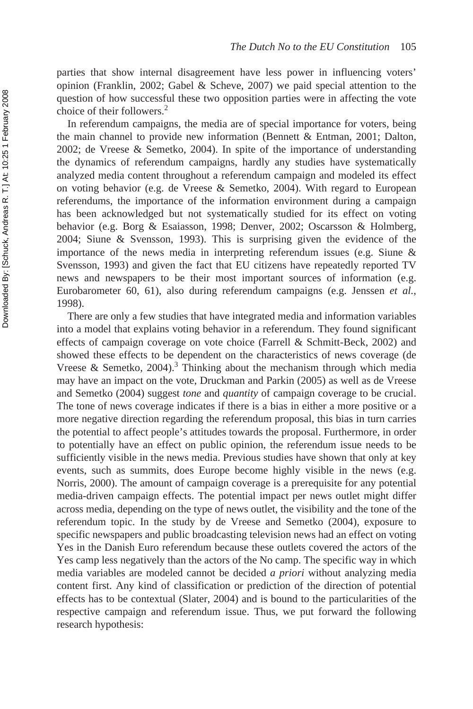parties that show internal disagreement have less power in influencing voters' opinion (Franklin, 2002; Gabel & Scheve, 2007) we paid special attention to the question of how successful these two opposition parties were in affecting the vote choice of their followers.<sup>2</sup>

In referendum campaigns, the media are of special importance for voters, being the main channel to provide new information (Bennett & Entman, 2001; Dalton, 2002; de Vreese & Semetko, 2004). In spite of the importance of understanding the dynamics of referendum campaigns, hardly any studies have systematically analyzed media content throughout a referendum campaign and modeled its effect on voting behavior (e.g. de Vreese & Semetko, 2004). With regard to European referendums, the importance of the information environment during a campaign has been acknowledged but not systematically studied for its effect on voting behavior (e.g. Borg & Esaiasson, 1998; Denver, 2002; Oscarsson & Holmberg, 2004; Siune & Svensson, 1993). This is surprising given the evidence of the importance of the news media in interpreting referendum issues (e.g. Siune & Svensson, 1993) and given the fact that EU citizens have repeatedly reported TV news and newspapers to be their most important sources of information (e.g. Eurobarometer 60, 61), also during referendum campaigns (e.g. Jenssen *et al.*, 1998).

There are only a few studies that have integrated media and information variables into a model that explains voting behavior in a referendum. They found significant effects of campaign coverage on vote choice (Farrell & Schmitt-Beck, 2002) and showed these effects to be dependent on the characteristics of news coverage (de Vreese & Semetko, 2004).<sup>3</sup> Thinking about the mechanism through which media may have an impact on the vote, Druckman and Parkin (2005) as well as de Vreese and Semetko (2004) suggest *tone* and *quantity* of campaign coverage to be crucial. The tone of news coverage indicates if there is a bias in either a more positive or a more negative direction regarding the referendum proposal, this bias in turn carries the potential to affect people's attitudes towards the proposal. Furthermore, in order to potentially have an effect on public opinion, the referendum issue needs to be sufficiently visible in the news media. Previous studies have shown that only at key events, such as summits, does Europe become highly visible in the news (e.g. Norris, 2000). The amount of campaign coverage is a prerequisite for any potential media-driven campaign effects. The potential impact per news outlet might differ across media, depending on the type of news outlet, the visibility and the tone of the referendum topic. In the study by de Vreese and Semetko (2004), exposure to specific newspapers and public broadcasting television news had an effect on voting Yes in the Danish Euro referendum because these outlets covered the actors of the Yes camp less negatively than the actors of the No camp. The specific way in which media variables are modeled cannot be decided *a priori* without analyzing media content first. Any kind of classification or prediction of the direction of potential effects has to be contextual (Slater, 2004) and is bound to the particularities of the respective campaign and referendum issue. Thus, we put forward the following research hypothesis: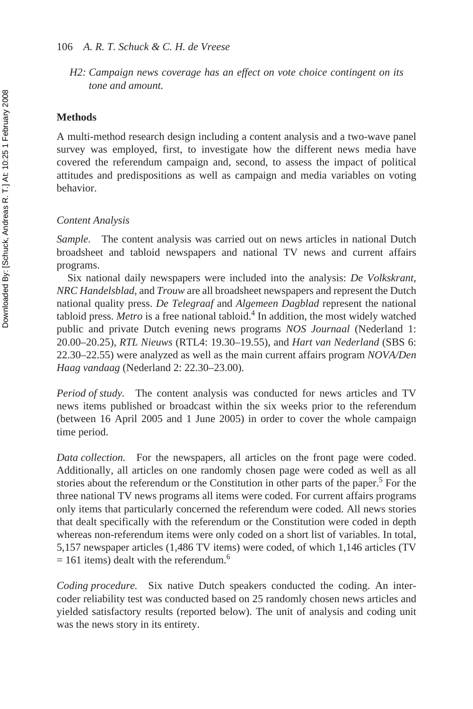*H2: Campaign news coverage has an effect on vote choice contingent on its tone and amount.*

#### **Methods**

A multi-method research design including a content analysis and a two-wave panel survey was employed, first, to investigate how the different news media have covered the referendum campaign and, second, to assess the impact of political attitudes and predispositions as well as campaign and media variables on voting behavior.

#### *Content Analysis*

*Sample.* The content analysis was carried out on news articles in national Dutch broadsheet and tabloid newspapers and national TV news and current affairs programs.

Six national daily newspapers were included into the analysis: *De Volkskrant*, *NRC Handelsblad*, and *Trouw* are all broadsheet newspapers and represent the Dutch national quality press. *De Telegraaf* and *Algemeen Dagblad* represent the national tabloid press. *Metro* is a free national tabloid.<sup>4</sup> In addition, the most widely watched public and private Dutch evening news programs *NOS Journaal* (Nederland 1: 20.00–20.25), *RTL Nieuws* (RTL4: 19.30–19.55), and *Hart van Nederland* (SBS 6: 22.30–22.55) were analyzed as well as the main current affairs program *NOVA/Den Haag vandaag* (Nederland 2: 22.30–23.00).

*Period of study.* The content analysis was conducted for news articles and TV news items published or broadcast within the six weeks prior to the referendum (between 16 April 2005 and 1 June 2005) in order to cover the whole campaign time period.

*Data collection.* For the newspapers, all articles on the front page were coded. Additionally, all articles on one randomly chosen page were coded as well as all stories about the referendum or the Constitution in other parts of the paper.<sup>5</sup> For the three national TV news programs all items were coded. For current affairs programs only items that particularly concerned the referendum were coded. All news stories that dealt specifically with the referendum or the Constitution were coded in depth whereas non-referendum items were only coded on a short list of variables. In total, 5,157 newspaper articles (1,486 TV items) were coded, of which 1,146 articles (TV  $= 161$  items) dealt with the referendum.<sup>6</sup>

*Coding procedure.* Six native Dutch speakers conducted the coding. An intercoder reliability test was conducted based on 25 randomly chosen news articles and yielded satisfactory results (reported below). The unit of analysis and coding unit was the news story in its entirety.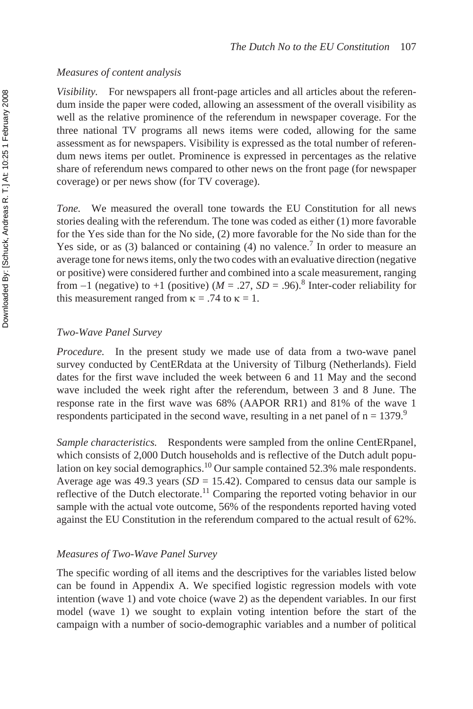#### *Measures of content analysis*

*Visibility.* For newspapers all front-page articles and all articles about the referendum inside the paper were coded, allowing an assessment of the overall visibility as well as the relative prominence of the referendum in newspaper coverage. For the three national TV programs all news items were coded, allowing for the same assessment as for newspapers. Visibility is expressed as the total number of referendum news items per outlet. Prominence is expressed in percentages as the relative share of referendum news compared to other news on the front page (for newspaper coverage) or per news show (for TV coverage).

*Tone.* We measured the overall tone towards the EU Constitution for all news stories dealing with the referendum. The tone was coded as either (1) more favorable for the Yes side than for the No side, (2) more favorable for the No side than for the Yes side, or as (3) balanced or containing (4) no valence.<sup>7</sup> In order to measure an average tone for news items, only the two codes with an evaluative direction (negative or positive) were considered further and combined into a scale measurement, ranging from  $-1$  (negative) to  $+1$  (positive) ( $M = .27$ ,  $SD = .96$ ).<sup>8</sup> Inter-coder reliability for this measurement ranged from  $\kappa = .74$  to  $\kappa = 1$ .

#### *Two-Wave Panel Survey*

*Procedure.* In the present study we made use of data from a two-wave panel survey conducted by CentERdata at the University of Tilburg (Netherlands). Field dates for the first wave included the week between 6 and 11 May and the second wave included the week right after the referendum, between 3 and 8 June. The response rate in the first wave was 68% (AAPOR RR1) and 81% of the wave 1 respondents participated in the second wave, resulting in a net panel of  $n = 1379$ .

*Sample characteristics.* Respondents were sampled from the online CentERpanel, which consists of 2,000 Dutch households and is reflective of the Dutch adult population on key social demographics.<sup>10</sup> Our sample contained 52.3% male respondents. Average age was 49.3 years  $(SD = 15.42)$ . Compared to census data our sample is reflective of the Dutch electorate.11 Comparing the reported voting behavior in our sample with the actual vote outcome, 56% of the respondents reported having voted against the EU Constitution in the referendum compared to the actual result of 62%.

# *Measures of Two-Wave Panel Survey*

The specific wording of all items and the descriptives for the variables listed below can be found in Appendix A. We specified logistic regression models with vote intention (wave 1) and vote choice (wave 2) as the dependent variables. In our first model (wave 1) we sought to explain voting intention before the start of the campaign with a number of socio-demographic variables and a number of political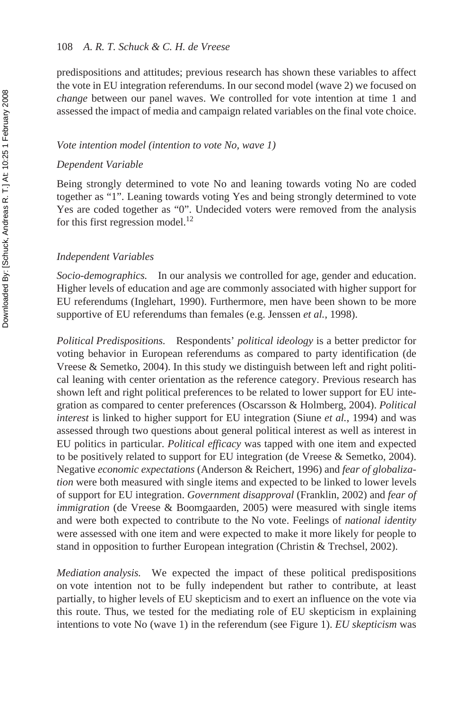predispositions and attitudes; previous research has shown these variables to affect the vote in EU integration referendums. In our second model (wave 2) we focused on *change* between our panel waves. We controlled for vote intention at time 1 and assessed the impact of media and campaign related variables on the final vote choice.

#### *Vote intention model (intention to vote No, wave 1)*

#### *Dependent Variable*

Being strongly determined to vote No and leaning towards voting No are coded together as "1". Leaning towards voting Yes and being strongly determined to vote Yes are coded together as "0". Undecided voters were removed from the analysis for this first regression model.<sup>12</sup>

#### *Independent Variables*

*Socio-demographics.* In our analysis we controlled for age, gender and education. Higher levels of education and age are commonly associated with higher support for EU referendums (Inglehart, 1990). Furthermore, men have been shown to be more supportive of EU referendums than females (e.g. Jenssen *et al.*, 1998).

*Political Predispositions.* Respondents' *political ideology* is a better predictor for voting behavior in European referendums as compared to party identification (de Vreese & Semetko, 2004). In this study we distinguish between left and right political leaning with center orientation as the reference category. Previous research has shown left and right political preferences to be related to lower support for EU integration as compared to center preferences (Oscarsson & Holmberg, 2004). *Political interest* is linked to higher support for EU integration (Siune *et al.*, 1994) and was assessed through two questions about general political interest as well as interest in EU politics in particular. *Political efficacy* was tapped with one item and expected to be positively related to support for EU integration (de Vreese & Semetko, 2004). Negative *economic expectations* (Anderson & Reichert, 1996) and *fear of globalization* were both measured with single items and expected to be linked to lower levels of support for EU integration. *Government disapproval* (Franklin, 2002) and *fear of immigration* (de Vreese & Boomgaarden, 2005) were measured with single items and were both expected to contribute to the No vote. Feelings of *national identity* were assessed with one item and were expected to make it more likely for people to stand in opposition to further European integration (Christin & Trechsel, 2002).

*Mediation analysis.* We expected the impact of these political predispositions on vote intention not to be fully independent but rather to contribute, at least partially, to higher levels of EU skepticism and to exert an influence on the vote via this route. Thus, we tested for the mediating role of EU skepticism in explaining intentions to vote No (wave 1) in the referendum (see Figure 1). *EU skepticism* was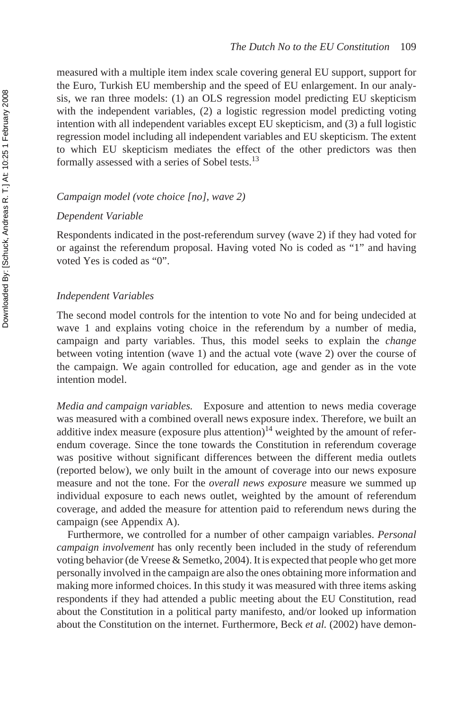measured with a multiple item index scale covering general EU support, support for the Euro, Turkish EU membership and the speed of EU enlargement. In our analysis, we ran three models: (1) an OLS regression model predicting EU skepticism with the independent variables, (2) a logistic regression model predicting voting intention with all independent variables except EU skepticism, and (3) a full logistic regression model including all independent variables and EU skepticism. The extent to which EU skepticism mediates the effect of the other predictors was then formally assessed with a series of Sobel tests.<sup>13</sup>

#### *Campaign model (vote choice [no], wave 2)*

#### *Dependent Variable*

Respondents indicated in the post-referendum survey (wave 2) if they had voted for or against the referendum proposal. Having voted No is coded as "1" and having voted Yes is coded as "0".

#### *Independent Variables*

The second model controls for the intention to vote No and for being undecided at wave 1 and explains voting choice in the referendum by a number of media, campaign and party variables. Thus, this model seeks to explain the *change* between voting intention (wave 1) and the actual vote (wave 2) over the course of the campaign. We again controlled for education, age and gender as in the vote intention model.

*Media and campaign variables.* Exposure and attention to news media coverage was measured with a combined overall news exposure index. Therefore, we built an additive index measure (exposure plus attention) $14$  weighted by the amount of referendum coverage. Since the tone towards the Constitution in referendum coverage was positive without significant differences between the different media outlets (reported below), we only built in the amount of coverage into our news exposure measure and not the tone. For the *overall news exposure* measure we summed up individual exposure to each news outlet, weighted by the amount of referendum coverage, and added the measure for attention paid to referendum news during the campaign (see Appendix A).

Furthermore, we controlled for a number of other campaign variables. *Personal campaign involvement* has only recently been included in the study of referendum voting behavior (de Vreese & Semetko, 2004). It is expected that people who get more personally involved in the campaign are also the ones obtaining more information and making more informed choices. In this study it was measured with three items asking respondents if they had attended a public meeting about the EU Constitution, read about the Constitution in a political party manifesto, and/or looked up information about the Constitution on the internet. Furthermore, Beck *et al.* (2002) have demon-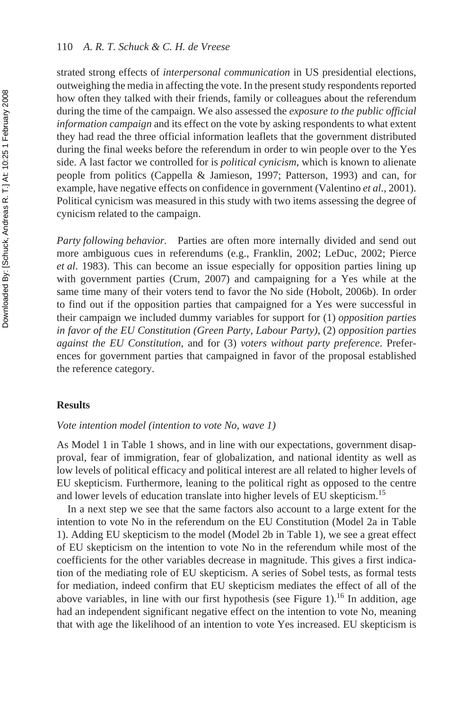#### 110 *A. R. T. Schuck & C. H. de Vreese*

strated strong effects of *interpersonal communication* in US presidential elections, outweighing the media in affecting the vote. In the present study respondents reported how often they talked with their friends, family or colleagues about the referendum during the time of the campaign. We also assessed the *exposure to the public official information campaign* and its effect on the vote by asking respondents to what extent they had read the three official information leaflets that the government distributed during the final weeks before the referendum in order to win people over to the Yes side. A last factor we controlled for is *political cynicism*, which is known to alienate people from politics (Cappella & Jamieson, 1997; Patterson, 1993) and can, for example, have negative effects on confidence in government (Valentino *et al.*, 2001). Political cynicism was measured in this study with two items assessing the degree of cynicism related to the campaign.

*Party following behavior.* Parties are often more internally divided and send out more ambiguous cues in referendums (e.g., Franklin, 2002; LeDuc, 2002; Pierce *et al*. 1983). This can become an issue especially for opposition parties lining up with government parties (Crum, 2007) and campaigning for a Yes while at the same time many of their voters tend to favor the No side (Hobolt, 2006b). In order to find out if the opposition parties that campaigned for a Yes were successful in their campaign we included dummy variables for support for (1) *opposition parties in favor of the EU Constitution (Green Party, Labour Party)*, (2) *opposition parties against the EU Constitution*, and for (3) *voters without party preference*. Preferences for government parties that campaigned in favor of the proposal established the reference category.

#### **Results**

#### *Vote intention model (intention to vote No, wave 1)*

As Model 1 in Table 1 shows, and in line with our expectations, government disapproval, fear of immigration, fear of globalization, and national identity as well as low levels of political efficacy and political interest are all related to higher levels of EU skepticism. Furthermore, leaning to the political right as opposed to the centre and lower levels of education translate into higher levels of EU skepticism.<sup>15</sup>

In a next step we see that the same factors also account to a large extent for the intention to vote No in the referendum on the EU Constitution (Model 2a in Table 1). Adding EU skepticism to the model (Model 2b in Table 1), we see a great effect of EU skepticism on the intention to vote No in the referendum while most of the coefficients for the other variables decrease in magnitude. This gives a first indication of the mediating role of EU skepticism. A series of Sobel tests, as formal tests for mediation, indeed confirm that EU skepticism mediates the effect of all of the above variables, in line with our first hypothesis (see Figure 1).<sup>16</sup> In addition, age had an independent significant negative effect on the intention to vote No, meaning that with age the likelihood of an intention to vote Yes increased. EU skepticism is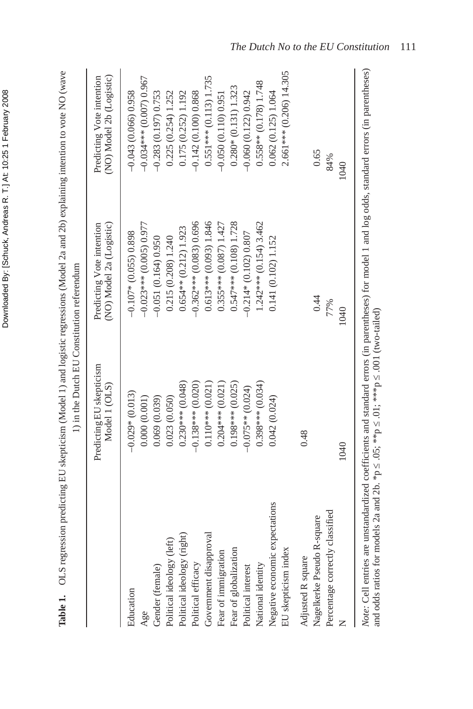| $\frac{1}{2}$<br>$\ddot{\phantom{0}}$<br>ところ イロマでこ                        |  |
|---------------------------------------------------------------------------|--|
|                                                                           |  |
| .<br>.<br>.<br>.<br>.<br><br><br><br><br><br><br><br><br><br><br><br><br> |  |
|                                                                           |  |
|                                                                           |  |
|                                                                           |  |
|                                                                           |  |
|                                                                           |  |
|                                                                           |  |
|                                                                           |  |
| ʻ                                                                         |  |
| ţ                                                                         |  |
|                                                                           |  |
| $\mathbf{a}$                                                              |  |
|                                                                           |  |
|                                                                           |  |
|                                                                           |  |
|                                                                           |  |
| ı                                                                         |  |

|                                 | 1) in the Dutch EU Constitution referendum |                                                       |                                                       |
|---------------------------------|--------------------------------------------|-------------------------------------------------------|-------------------------------------------------------|
|                                 | Predicting EU skepticism<br>Model 1 (OLS)  | (NO) Model 2a (Logistic)<br>Predicting Vote intention | (NO) Model 2b (Logistic)<br>Predicting Vote intention |
| Education                       | $-0.029*(0.013)$                           | $-0.107*(0.055)0.898$                                 | $-0.043(0.066)0.958$                                  |
| Gender (female)<br>Age          | 0.000(0.001)<br>0.069(0.039)               | $-0.023***$ (0.005) 0.977<br>$-0.051(0.164)0.950$     | $-0.034***$ (0.007) 0.967<br>$-0.283(0.197)0.753$     |
| Political ideology (left)       | 0.023(0.050)                               | 0.215 (0.208) 1.240                                   | $0.225(0.254)$ 1.252                                  |
| Political ideology (right)      | $0.230***$ (0.048)                         | $0.654**$ (0.212) 1.923                               | 0.175 (0.252) 1.192                                   |
| Political efficacy              | $-0.138***$ (0.020)                        | $-0.362***$ (0.083) 0.696                             | $-0.142(0.100)0.868$                                  |
| Government disapproval          | $0.110***$ (0.021)                         | $0.613***$ (0.093) 1.846                              | $0.551***$ (0.113) 1.735                              |
| Fear of immigration             | $0.204***$ (0.021)                         | $0.355***$ (0.087) 1.427                              | $-0.050(0.110)0.951$                                  |
| Fear of globalization           | $0.198***$ (0.025)                         | 0.547*** (0.108) 1.728                                | $0.280*$ (0.131) 1.323                                |
| Political interest              | $-0.075**$ (0.024)                         | $-0.214*(0.102)0.807$                                 | $-0.060(0.122)0.942$                                  |
| National identity               | $0.398***$ (0.034)                         | $1.242***$ (0.154) 3.462                              | $0.558**$ (0.178) 1.748                               |
| Negative economic expectations  | 0.042(0.024)                               | 0.141 (0.102) 1.152                                   | 0.062(0.125)1.064                                     |
| EU skepticism index             |                                            |                                                       | 2.661*** (0.206) 14.305                               |
| Adjusted R square               | 0.48                                       |                                                       |                                                       |
| Nagelkerke Pseudo R-square      |                                            | 0.44                                                  | 0.65                                                  |
| Percentage correctly classified |                                            | 77%                                                   | 84%                                                   |
|                                 | 1040                                       | 1040                                                  | 1040                                                  |

**Table 1.** OLS regression predicting EU skepticism (Model 1) and logistic regressions (Model 2a and 2b) explaining intention to vote NO (wave OLS regression predicting EU skepticism (Model 1) and logistic regressions (Model 2a and 2b) explaining intention to vote NO (wave 1) in the Dutch EU Constitution referendum Table 1.

Note: Cell entries are unstandardized coefficients and standard errors (in parentheses) for model 1 and log odds, standard errors (in parentheses) *Note:* Cell entries are unstandardized coefficients and standard errors (in parentheses) for model 1 and log odds, standard errors (in parentheses) and odds ratios for models 2a and 2b. \*p  $\leq .05$ ; \*\*p  $\leq .01$ ; \*\*\*p  $\leq .001$  (two-tailed) and odds ratios for models 2a and 2b. \*p ≤ .05; \*\*p ≤ .01; \*\*\*p ≤ .001 (two-tailed)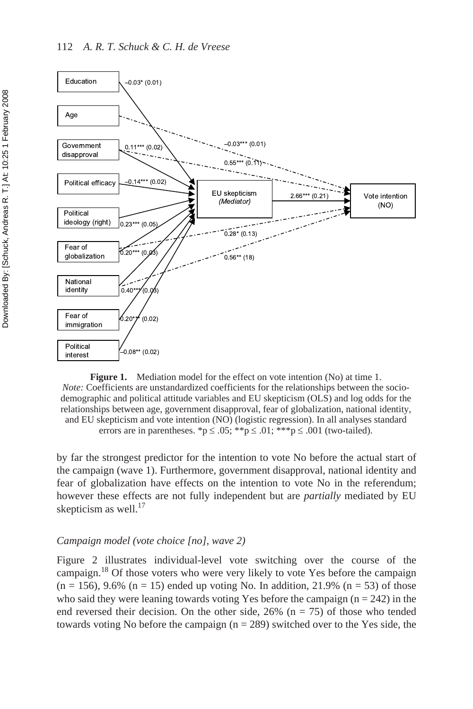

**Figure 1.** Mediation model for the effect on vote intention (No) at time 1. *Note:* Coefficients are unstandardized coefficients for the relationships between the sociodemographic and political attitude variables and EU skepticism (OLS) and log odds for the relationships between age, government disapproval, fear of globalization, national identity, and EU skepticism and vote intention (NO) (logistic regression). In all analyses standard errors are in parentheses. \*p  $\leq 0.05$ ; \*\*p  $\leq 0.01$ ; \*\*\*p  $\leq 0.001$  (two-tailed).

by far the strongest predictor for the intention to vote No before the actual start of the campaign (wave 1). Furthermore, government disapproval, national identity and fear of globalization have effects on the intention to vote No in the referendum; however these effects are not fully independent but are *partially* mediated by EU skepticism as well. $^{17}$ 

#### *Campaign model (vote choice [no], wave 2)*

Figure 2 illustrates individual-level vote switching over the course of the campaign.<sup>18</sup> Of those voters who were very likely to vote Yes before the campaign  $(n = 156)$ , 9.6%  $(n = 15)$  ended up voting No. In addition, 21.9%  $(n = 53)$  of those who said they were leaning towards voting Yes before the campaign  $(n = 242)$  in the end reversed their decision. On the other side,  $26\%$  (n = 75) of those who tended towards voting No before the campaign  $(n = 289)$  switched over to the Yes side, the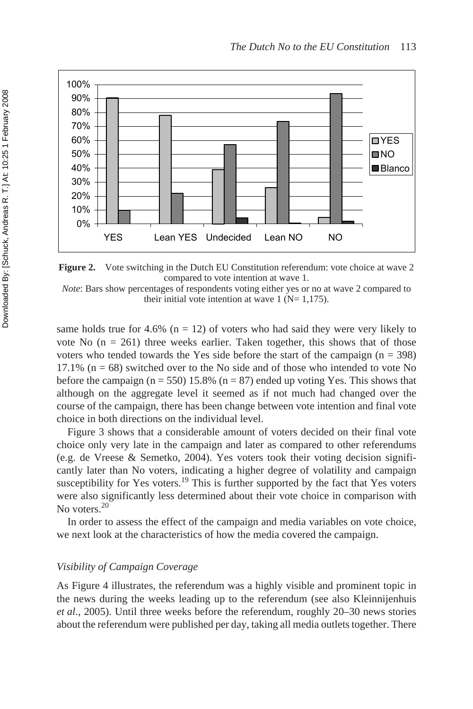

**Figure 2.** Vote switching in the Dutch EU Constitution referendum: vote choice at wave 2 compared to vote intention at wave 1.

*Note*: Bars show percentages of respondents voting either yes or no at wave 2 compared to their initial vote intention at wave  $1$  (N= 1,175).

same holds true for 4.6% ( $n = 12$ ) of voters who had said they were very likely to vote No  $(n = 261)$  three weeks earlier. Taken together, this shows that of those voters who tended towards the Yes side before the start of the campaign  $(n = 398)$  $17.1\%$  (n = 68) switched over to the No side and of those who intended to vote No before the campaign ( $n = 550$ ) 15.8% ( $n = 87$ ) ended up voting Yes. This shows that although on the aggregate level it seemed as if not much had changed over the course of the campaign, there has been change between vote intention and final vote choice in both directions on the individual level.

Figure 3 shows that a considerable amount of voters decided on their final vote choice only very late in the campaign and later as compared to other referendums (e.g. de Vreese & Semetko, 2004). Yes voters took their voting decision significantly later than No voters, indicating a higher degree of volatility and campaign susceptibility for Yes voters.<sup>19</sup> This is further supported by the fact that Yes voters were also significantly less determined about their vote choice in comparison with No voters.<sup>20</sup>

In order to assess the effect of the campaign and media variables on vote choice, we next look at the characteristics of how the media covered the campaign.

#### *Visibility of Campaign Coverage*

As Figure 4 illustrates, the referendum was a highly visible and prominent topic in the news during the weeks leading up to the referendum (see also Kleinnijenhuis *et al.*, 2005). Until three weeks before the referendum, roughly 20–30 news stories about the referendum were published per day, taking all media outlets together. There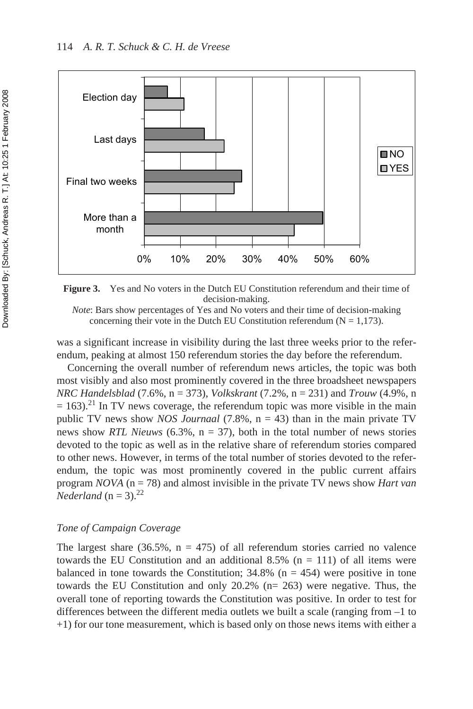



*Note*: Bars show percentages of Yes and No voters and their time of decision-making concerning their vote in the Dutch EU Constitution referendum ( $N = 1,173$ ).

was a significant increase in visibility during the last three weeks prior to the referendum, peaking at almost 150 referendum stories the day before the referendum.

Concerning the overall number of referendum news articles, the topic was both most visibly and also most prominently covered in the three broadsheet newspapers *NRC Handelsblad* (7.6%, n = 373), *Volkskrant* (7.2%, n = 231) and *Trouw* (4.9%, n  $= 163$ ).<sup>21</sup> In TV news coverage, the referendum topic was more visible in the main public TV news show *NOS Journaal* (7.8%, n = 43) than in the main private TV news show *RTL Nieuws* (6.3%, n = 37), both in the total number of news stories devoted to the topic as well as in the relative share of referendum stories compared to other news. However, in terms of the total number of stories devoted to the referendum, the topic was most prominently covered in the public current affairs program *NOVA* (n = 78) and almost invisible in the private TV news show *Hart van Nederland* ( $n = 3$ ).<sup>22</sup>

#### *Tone of Campaign Coverage*

The largest share  $(36.5\%, n = 475)$  of all referendum stories carried no valence towards the EU Constitution and an additional 8.5% ( $n = 111$ ) of all items were balanced in tone towards the Constitution;  $34.8\%$  (n = 454) were positive in tone towards the EU Constitution and only 20.2% (n= 263) were negative. Thus, the overall tone of reporting towards the Constitution was positive. In order to test for differences between the different media outlets we built a scale (ranging from –1 to +1) for our tone measurement, which is based only on those news items with either a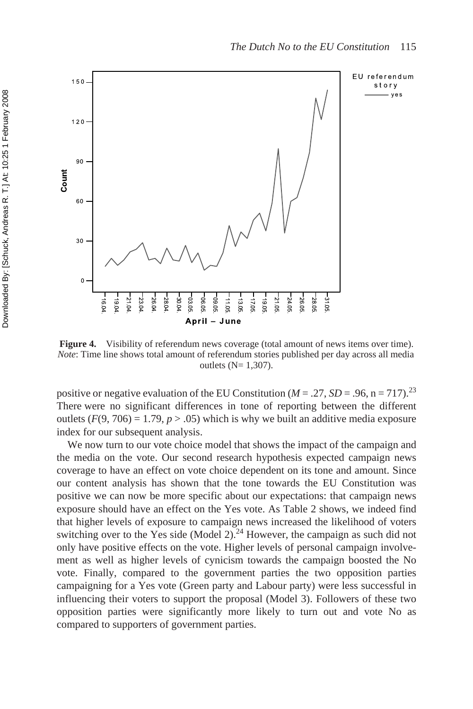

**Figure 4.** Visibility of referendum news coverage (total amount of news items over time). *Note*: Time line shows total amount of referendum stories published per day across all media outlets  $(N= 1,307)$ .

positive or negative evaluation of the EU Constitution ( $M = .27$ ,  $SD = .96$ , n = 717).<sup>23</sup> There were no significant differences in tone of reporting between the different outlets  $(F(9, 706) = 1.79, p > .05)$  which is why we built an additive media exposure index for our subsequent analysis.

We now turn to our vote choice model that shows the impact of the campaign and the media on the vote. Our second research hypothesis expected campaign news coverage to have an effect on vote choice dependent on its tone and amount. Since our content analysis has shown that the tone towards the EU Constitution was positive we can now be more specific about our expectations: that campaign news exposure should have an effect on the Yes vote. As Table 2 shows, we indeed find that higher levels of exposure to campaign news increased the likelihood of voters switching over to the Yes side (Model 2).<sup>24</sup> However, the campaign as such did not only have positive effects on the vote. Higher levels of personal campaign involvement as well as higher levels of cynicism towards the campaign boosted the No vote. Finally, compared to the government parties the two opposition parties campaigning for a Yes vote (Green party and Labour party) were less successful in influencing their voters to support the proposal (Model 3). Followers of these two opposition parties were significantly more likely to turn out and vote No as **Example 12** is a set of the reading their volers of example in the reading their volers (Never Time line shows total amount of referendum outlets (N= 1,3 positive or negative evaluation of the EU Constant of the CM Const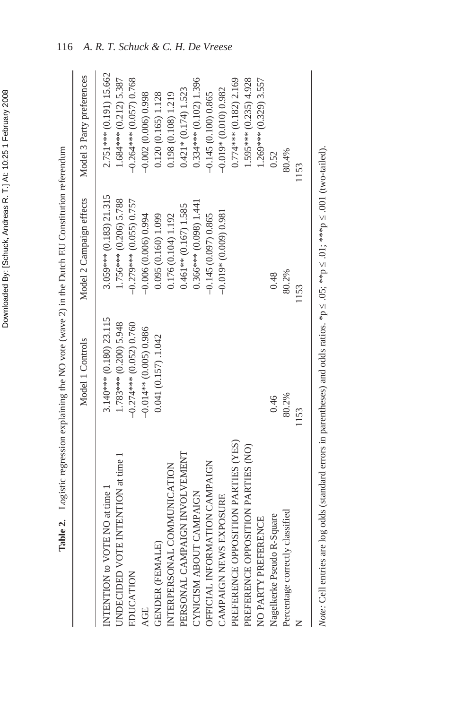| $\frac{1}{2}$                                                                               |
|---------------------------------------------------------------------------------------------|
| ֦֦֧֧֧֧֧֧֛֛֧֧֧֧֧֧֛֛֛֛֛֛֛֛֛֝֟֝֬֝֝֝֬֝֬֝֓֝֬֝֓֝֬֝֓֝֬֝֓֝֬֝֓֝֬֝֓֟֓֝֬֝֓֝֬֝֓֟֓֝֬֝֬֝֝֝֬֝֬֝֬֝֬֝֬֝֬֝֝֝֜ |
| $\overline{a}$                                                                              |
|                                                                                             |
|                                                                                             |
| )<br>)                                                                                      |
|                                                                                             |
|                                                                                             |
|                                                                                             |
|                                                                                             |
| しゅうしゅ こうしょう<br>こうしょう                                                                        |
| i<br>Santa Caraca (                                                                         |
| awic 4.<br>l                                                                                |

Downloaded By: [Schuck, Andreas R. T.] At: 10:25 1 February 2008

Downloaded By: [Schuck, Andreas R. T.] At: 10:25 1 February 2008

|                                                                                                                                                          | Model 1 Controls                                    | Model 2 Campaign effects                            | Model 3 Party preferences                          |
|----------------------------------------------------------------------------------------------------------------------------------------------------------|-----------------------------------------------------|-----------------------------------------------------|----------------------------------------------------|
| UNDECIDED VOTE INTENTION at time 1<br>INTENTION to VOTE NO at time 1                                                                                     | $3.140***$ (0.180) 23.115<br>1.783*** (0.200) 5.948 | $3.059***$ (0.183) 21.315<br>1.756*** (0.206) 5.788 | 2.751 *** (0.191) 15.662<br>1.684*** (0.212) 5.387 |
| EDUCATION                                                                                                                                                | $-0.274***$ (0.052) 0.760                           | $-0.279***(0.055)0.757$                             | $-0.264***$ (0.057) 0.768                          |
| AGE                                                                                                                                                      | $-0.014**$ (0.005) 0.986                            | $-0.006(0.006)0.994$                                | $-0.002(0.006)0.998$                               |
| <b>GENDER (FEMALE)</b>                                                                                                                                   | $0.041(0.157)$ . 1.042                              | 0.095 (0.160) 1.099                                 | 0.120(0.165)1.128                                  |
| INTERPERSONAL COMMUNICATION                                                                                                                              |                                                     | 0.176 (0.104) 1.192                                 | 0.198 (0.108) 1.219                                |
| PERSONAL CAMPAIGN INVOLVEMENT                                                                                                                            |                                                     | $0.461**$ (0.167) 1.585                             | $0.421*(0.174)1.523$                               |
| CYNICISM ABOUT CAMPAIGN                                                                                                                                  |                                                     | $0.366***$ (0.098) 1.441                            | $0.334***$ (0.102) 1.396                           |
| OFFICIAL INFORMATION CAMPAIGN                                                                                                                            |                                                     | $-0.145(0.097)0.865$                                | $-0.145(0.100)0.865$                               |
| CAMPAIGN NEWS EXPOSURE                                                                                                                                   |                                                     | $-0.019*(0.009)0.981$                               | $-0.010(0.010)0.982$                               |
| PREFERENCE OPPOSITION PARTIES (YES)                                                                                                                      |                                                     |                                                     | $0.774***$ (0.182) 2.169                           |
| PREFERENCE OPPOSITION PARTIES (NO)                                                                                                                       |                                                     |                                                     | 1.595*** (0.235) 4.928                             |
| NO PARTY PREFERENCE                                                                                                                                      |                                                     |                                                     | 1.269*** (0.329) 3.557                             |
| Nagelkerke Pseudo R-Square                                                                                                                               | 0.46                                                | 0.48                                                | 0.52                                               |
| Percentage correctly classified                                                                                                                          | 80.2%                                               | 80.2%                                               | 80.4%                                              |
|                                                                                                                                                          | 1153                                                | 1153                                                | 1153                                               |
| <i>Note:</i> Cell entries are log odds (standard errors in parentheses) and odds ratios. *p $\leq .05$ ; **p $\leq .01$ ; ***b $\leq .001$ (two-tailed). |                                                     |                                                     |                                                    |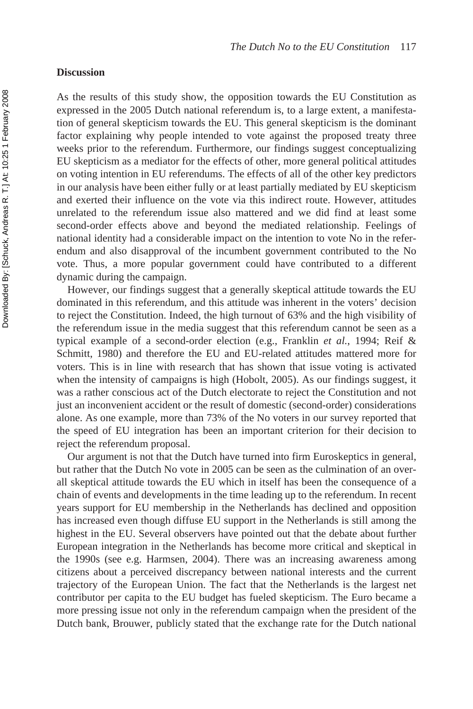#### **Discussion**

As the results of this study show, the opposition towards the EU Constitution as expressed in the 2005 Dutch national referendum is, to a large extent, a manifestation of general skepticism towards the EU. This general skepticism is the dominant factor explaining why people intended to vote against the proposed treaty three weeks prior to the referendum. Furthermore, our findings suggest conceptualizing EU skepticism as a mediator for the effects of other, more general political attitudes on voting intention in EU referendums. The effects of all of the other key predictors in our analysis have been either fully or at least partially mediated by EU skepticism and exerted their influence on the vote via this indirect route. However, attitudes unrelated to the referendum issue also mattered and we did find at least some second-order effects above and beyond the mediated relationship. Feelings of national identity had a considerable impact on the intention to vote No in the referendum and also disapproval of the incumbent government contributed to the No vote. Thus, a more popular government could have contributed to a different dynamic during the campaign.

However, our findings suggest that a generally skeptical attitude towards the EU dominated in this referendum, and this attitude was inherent in the voters' decision to reject the Constitution. Indeed, the high turnout of 63% and the high visibility of the referendum issue in the media suggest that this referendum cannot be seen as a typical example of a second-order election (e.g., Franklin *et al.*, 1994; Reif & Schmitt, 1980) and therefore the EU and EU-related attitudes mattered more for voters. This is in line with research that has shown that issue voting is activated when the intensity of campaigns is high (Hobolt, 2005). As our findings suggest, it was a rather conscious act of the Dutch electorate to reject the Constitution and not just an inconvenient accident or the result of domestic (second-order) considerations alone. As one example, more than 73% of the No voters in our survey reported that the speed of EU integration has been an important criterion for their decision to reject the referendum proposal.

Our argument is not that the Dutch have turned into firm Euroskeptics in general, but rather that the Dutch No vote in 2005 can be seen as the culmination of an overall skeptical attitude towards the EU which in itself has been the consequence of a chain of events and developments in the time leading up to the referendum. In recent years support for EU membership in the Netherlands has declined and opposition has increased even though diffuse EU support in the Netherlands is still among the highest in the EU. Several observers have pointed out that the debate about further European integration in the Netherlands has become more critical and skeptical in the 1990s (see e.g. Harmsen, 2004). There was an increasing awareness among citizens about a perceived discrepancy between national interests and the current trajectory of the European Union. The fact that the Netherlands is the largest net contributor per capita to the EU budget has fueled skepticism. The Euro became a more pressing issue not only in the referendum campaign when the president of the Dutch bank, Brouwer, publicly stated that the exchange rate for the Dutch national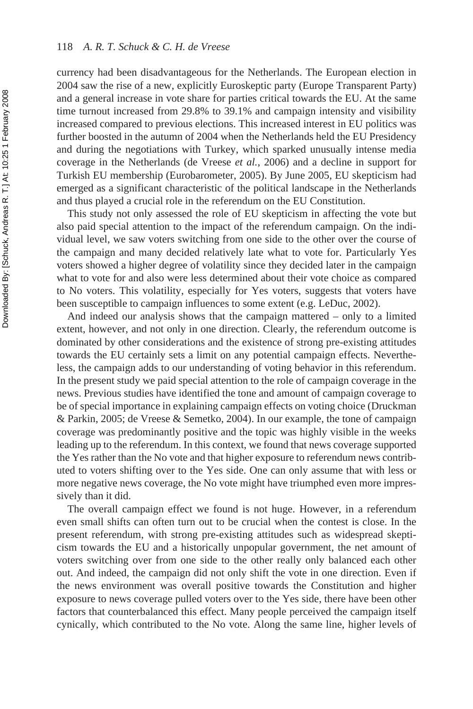currency had been disadvantageous for the Netherlands. The European election in 2004 saw the rise of a new, explicitly Euroskeptic party (Europe Transparent Party) and a general increase in vote share for parties critical towards the EU. At the same time turnout increased from 29.8% to 39.1% and campaign intensity and visibility increased compared to previous elections. This increased interest in EU politics was further boosted in the autumn of 2004 when the Netherlands held the EU Presidency and during the negotiations with Turkey, which sparked unusually intense media coverage in the Netherlands (de Vreese *et al.*, 2006) and a decline in support for Turkish EU membership (Eurobarometer, 2005). By June 2005, EU skepticism had emerged as a significant characteristic of the political landscape in the Netherlands and thus played a crucial role in the referendum on the EU Constitution.

This study not only assessed the role of EU skepticism in affecting the vote but also paid special attention to the impact of the referendum campaign. On the individual level, we saw voters switching from one side to the other over the course of the campaign and many decided relatively late what to vote for. Particularly Yes voters showed a higher degree of volatility since they decided later in the campaign what to vote for and also were less determined about their vote choice as compared to No voters. This volatility, especially for Yes voters, suggests that voters have been susceptible to campaign influences to some extent (e.g. LeDuc, 2002).

And indeed our analysis shows that the campaign mattered – only to a limited extent, however, and not only in one direction. Clearly, the referendum outcome is dominated by other considerations and the existence of strong pre-existing attitudes towards the EU certainly sets a limit on any potential campaign effects. Nevertheless, the campaign adds to our understanding of voting behavior in this referendum. In the present study we paid special attention to the role of campaign coverage in the news. Previous studies have identified the tone and amount of campaign coverage to be of special importance in explaining campaign effects on voting choice (Druckman & Parkin, 2005; de Vreese & Semetko, 2004). In our example, the tone of campaign coverage was predominantly positive and the topic was highly visible in the weeks leading up to the referendum. In this context, we found that news coverage supported the Yes rather than the No vote and that higher exposure to referendum news contributed to voters shifting over to the Yes side. One can only assume that with less or more negative news coverage, the No vote might have triumphed even more impressively than it did.

The overall campaign effect we found is not huge. However, in a referendum even small shifts can often turn out to be crucial when the contest is close. In the present referendum, with strong pre-existing attitudes such as widespread skepticism towards the EU and a historically unpopular government, the net amount of voters switching over from one side to the other really only balanced each other out. And indeed, the campaign did not only shift the vote in one direction. Even if the news environment was overall positive towards the Constitution and higher exposure to news coverage pulled voters over to the Yes side, there have been other factors that counterbalanced this effect. Many people perceived the campaign itself cynically, which contributed to the No vote. Along the same line, higher levels of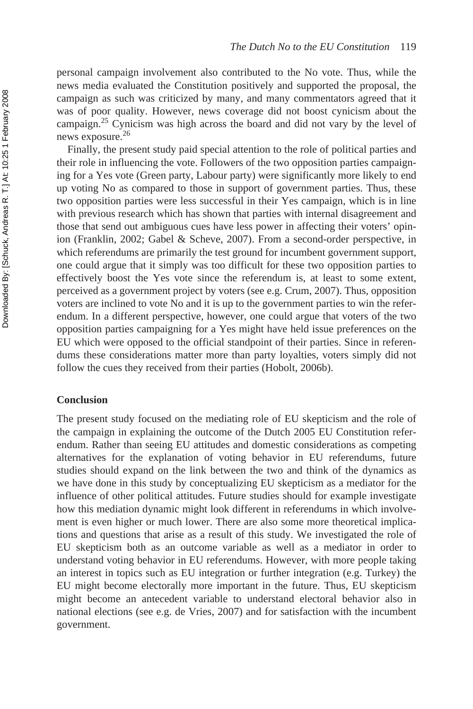personal campaign involvement also contributed to the No vote. Thus, while the news media evaluated the Constitution positively and supported the proposal, the campaign as such was criticized by many, and many commentators agreed that it was of poor quality. However, news coverage did not boost cynicism about the campaign.<sup>25</sup> Cynicism was high across the board and did not vary by the level of news exposure.<sup>26</sup>

Finally, the present study paid special attention to the role of political parties and their role in influencing the vote. Followers of the two opposition parties campaigning for a Yes vote (Green party, Labour party) were significantly more likely to end up voting No as compared to those in support of government parties. Thus, these two opposition parties were less successful in their Yes campaign, which is in line with previous research which has shown that parties with internal disagreement and those that send out ambiguous cues have less power in affecting their voters' opinion (Franklin, 2002; Gabel & Scheve, 2007). From a second-order perspective, in which referendums are primarily the test ground for incumbent government support, one could argue that it simply was too difficult for these two opposition parties to effectively boost the Yes vote since the referendum is, at least to some extent, perceived as a government project by voters (see e.g. Crum, 2007). Thus, opposition voters are inclined to vote No and it is up to the government parties to win the referendum. In a different perspective, however, one could argue that voters of the two opposition parties campaigning for a Yes might have held issue preferences on the EU which were opposed to the official standpoint of their parties. Since in referendums these considerations matter more than party loyalties, voters simply did not follow the cues they received from their parties (Hobolt, 2006b).

#### **Conclusion**

The present study focused on the mediating role of EU skepticism and the role of the campaign in explaining the outcome of the Dutch 2005 EU Constitution referendum. Rather than seeing EU attitudes and domestic considerations as competing alternatives for the explanation of voting behavior in EU referendums, future studies should expand on the link between the two and think of the dynamics as we have done in this study by conceptualizing EU skepticism as a mediator for the influence of other political attitudes. Future studies should for example investigate how this mediation dynamic might look different in referendums in which involvement is even higher or much lower. There are also some more theoretical implications and questions that arise as a result of this study. We investigated the role of EU skepticism both as an outcome variable as well as a mediator in order to understand voting behavior in EU referendums. However, with more people taking an interest in topics such as EU integration or further integration (e.g. Turkey) the EU might become electorally more important in the future. Thus, EU skepticism might become an antecedent variable to understand electoral behavior also in national elections (see e.g. de Vries, 2007) and for satisfaction with the incumbent government.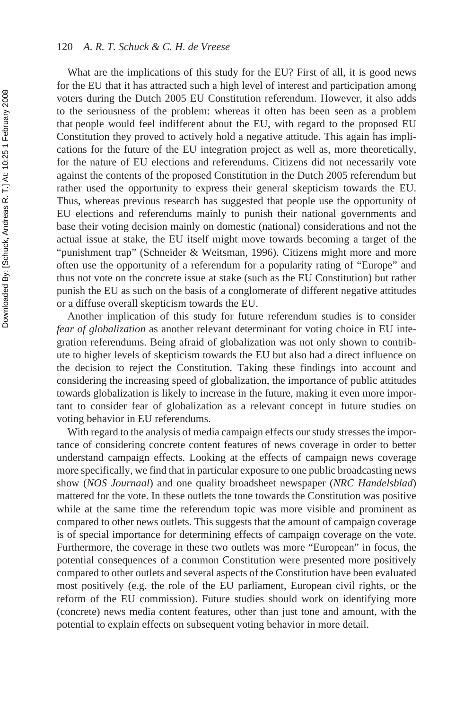What are the implications of this study for the EU? First of all, it is good news for the EU that it has attracted such a high level of interest and participation among voters during the Dutch 2005 EU Constitution referendum. However, it also adds to the seriousness of the problem: whereas it often has been seen as a problem that people would feel indifferent about the EU, with regard to the proposed EU Constitution they proved to actively hold a negative attitude. This again has implications for the future of the EU integration project as well as, more theoretically, for the nature of EU elections and referendums. Citizens did not necessarily vote against the contents of the proposed Constitution in the Dutch 2005 referendum but rather used the opportunity to express their general skepticism towards the EU. Thus, whereas previous research has suggested that people use the opportunity of EU elections and referendums mainly to punish their national governments and base their voting decision mainly on domestic (national) considerations and not the actual issue at stake, the EU itself might move towards becoming a target of the "punishment trap" (Schneider & Weitsman, 1996). Citizens might more and more often use the opportunity of a referendum for a popularity rating of "Europe" and thus not vote on the concrete issue at stake (such as the EU Constitution) but rather punish the EU as such on the basis of a conglomerate of different negative attitudes or a diffuse overall skepticism towards the EU.

Another implication of this study for future referendum studies is to consider *fear of globalization* as another relevant determinant for voting choice in EU integration referendums. Being afraid of globalization was not only shown to contribute to higher levels of skepticism towards the EU but also had a direct influence on the decision to reject the Constitution. Taking these findings into account and considering the increasing speed of globalization, the importance of public attitudes towards globalization is likely to increase in the future, making it even more important to consider fear of globalization as a relevant concept in future studies on voting behavior in EU referendums.

With regard to the analysis of media campaign effects our study stresses the importance of considering concrete content features of news coverage in order to better understand campaign effects. Looking at the effects of campaign news coverage more specifically, we find that in particular exposure to one public broadcasting news show (*NOS Journaal*) and one quality broadsheet newspaper (*NRC Handelsblad*) mattered for the vote. In these outlets the tone towards the Constitution was positive while at the same time the referendum topic was more visible and prominent as compared to other news outlets. This suggests that the amount of campaign coverage is of special importance for determining effects of campaign coverage on the vote. Furthermore, the coverage in these two outlets was more "European" in focus, the potential consequences of a common Constitution were presented more positively compared to other outlets and several aspects of the Constitution have been evaluated most positively (e.g. the role of the EU parliament, European civil rights, or the reform of the EU commission). Future studies should work on identifying more (concrete) news media content features, other than just tone and amount, with the potential to explain effects on subsequent voting behavior in more detail.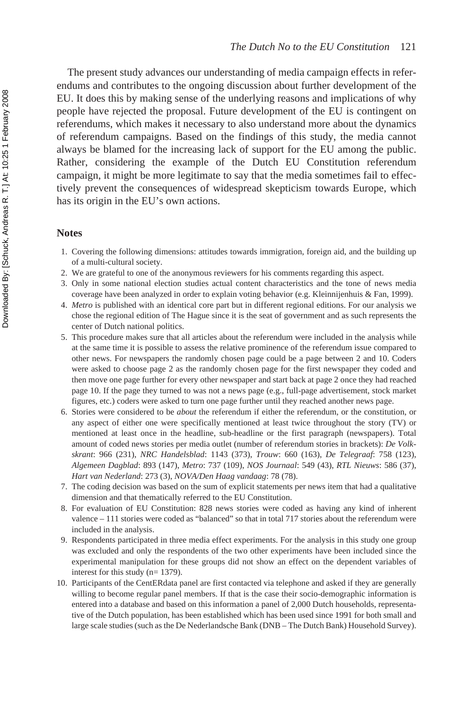The present study advances our understanding of media campaign effects in referendums and contributes to the ongoing discussion about further development of the EU. It does this by making sense of the underlying reasons and implications of why people have rejected the proposal. Future development of the EU is contingent on referendums, which makes it necessary to also understand more about the dynamics of referendum campaigns. Based on the findings of this study, the media cannot always be blamed for the increasing lack of support for the EU among the public. Rather, considering the example of the Dutch EU Constitution referendum campaign, it might be more legitimate to say that the media sometimes fail to effectively prevent the consequences of widespread skepticism towards Europe, which has its origin in the EU's own actions.

#### **Notes**

- 1. Covering the following dimensions: attitudes towards immigration, foreign aid, and the building up of a multi-cultural society.
- 2. We are grateful to one of the anonymous reviewers for his comments regarding this aspect.
- 3. Only in some national election studies actual content characteristics and the tone of news media coverage have been analyzed in order to explain voting behavior (e.g. Kleinnijenhuis & Fan, 1999).
- 4. *Metro* is published with an identical core part but in different regional editions. For our analysis we chose the regional edition of The Hague since it is the seat of government and as such represents the center of Dutch national politics.
- 5. This procedure makes sure that all articles about the referendum were included in the analysis while at the same time it is possible to assess the relative prominence of the referendum issue compared to other news. For newspapers the randomly chosen page could be a page between 2 and 10. Coders were asked to choose page 2 as the randomly chosen page for the first newspaper they coded and then move one page further for every other newspaper and start back at page 2 once they had reached page 10. If the page they turned to was not a news page (e.g., full-page advertisement, stock market figures, etc.) coders were asked to turn one page further until they reached another news page.
- 6. Stories were considered to be *about* the referendum if either the referendum, or the constitution, or any aspect of either one were specifically mentioned at least twice throughout the story (TV) or mentioned at least once in the headline, sub-headline or the first paragraph (newspapers). Total amount of coded news stories per media outlet (number of referendum stories in brackets): *De Volkskrant*: 966 (231), *NRC Handelsblad*: 1143 (373), *Trouw*: 660 (163), *De Telegraaf*: 758 (123), *Algemeen Dagblad*: 893 (147), *Metro*: 737 (109), *NOS Journaal*: 549 (43), *RTL Nieuws*: 586 (37), *Hart van Nederland*: 273 (3), *NOVA/Den Haag vandaag*: 78 (78).
- 7. The coding decision was based on the sum of explicit statements per news item that had a qualitative dimension and that thematically referred to the EU Constitution.
- 8. For evaluation of EU Constitution: 828 news stories were coded as having any kind of inherent valence – 111 stories were coded as "balanced" so that in total 717 stories about the referendum were included in the analysis.
- 9. Respondents participated in three media effect experiments. For the analysis in this study one group was excluded and only the respondents of the two other experiments have been included since the experimental manipulation for these groups did not show an effect on the dependent variables of interest for this study (n= 1379).
- 10. Participants of the CentERdata panel are first contacted via telephone and asked if they are generally willing to become regular panel members. If that is the case their socio-demographic information is entered into a database and based on this information a panel of 2,000 Dutch households, representative of the Dutch population, has been established which has been used since 1991 for both small and large scale studies (such as the De Nederlandsche Bank (DNB – The Dutch Bank) Household Survey).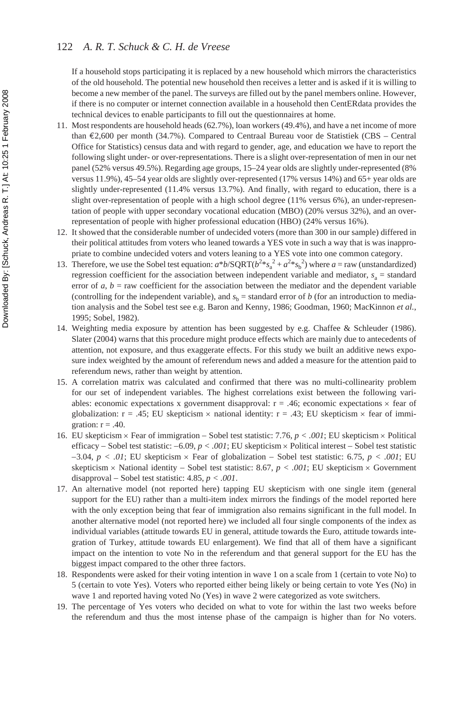If a household stops participating it is replaced by a new household which mirrors the characteristics of the old household. The potential new household then receives a letter and is asked if it is willing to become a new member of the panel. The surveys are filled out by the panel members online. However, if there is no computer or internet connection available in a household then CentERdata provides the technical devices to enable participants to fill out the questionnaires at home.

- 11. Most respondents are household heads (62.7%), loan workers (49.4%), and have a net income of more than €2,600 per month (34.7%). Compared to Centraal Bureau voor de Statistiek (CBS – Central Office for Statistics) census data and with regard to gender, age, and education we have to report the following slight under- or over-representations. There is a slight over-representation of men in our net panel (52% versus 49.5%). Regarding age groups, 15–24 year olds are slightly under-represented (8% versus 11.9%), 45–54 year olds are slightly over-represented (17% versus 14%) and 65+ year olds are slightly under-represented (11.4% versus 13.7%). And finally, with regard to education, there is a slight over-representation of people with a high school degree (11% versus 6%), an under-representation of people with upper secondary vocational education (MBO) (20% versus 32%), and an overrepresentation of people with higher professional education (HBO) (24% versus 16%).
- 12. It showed that the considerable number of undecided voters (more than 300 in our sample) differed in their political attitudes from voters who leaned towards a YES vote in such a way that is was inappropriate to combine undecided voters and voters leaning to a YES vote into one common category.
- 13. Therefore, we use the Sobel test equation:  $a^*b/\text{SQRT}(b^{2*} s_a^2 + a^{2*} s_b^2)$  where  $a = \text{raw}$  (unstandardized) regression coefficient for the association between independent variable and mediator,  $s_a$  = standard error of  $a, b$  = raw coefficient for the association between the mediator and the dependent variable (controlling for the independent variable), and  $s<sub>b</sub>$  = standard error of *b* (for an introduction to mediation analysis and the Sobel test see e.g. Baron and Kenny, 1986; Goodman, 1960; MacKinnon *et al.*, 1995; Sobel, 1982).
- 14. Weighting media exposure by attention has been suggested by e.g. Chaffee & Schleuder (1986). Slater (2004) warns that this procedure might produce effects which are mainly due to antecedents of attention, not exposure, and thus exaggerate effects. For this study we built an additive news exposure index weighted by the amount of referendum news and added a measure for the attention paid to referendum news, rather than weight by attention.
- 15. A correlation matrix was calculated and confirmed that there was no multi-collinearity problem for our set of independent variables. The highest correlations exist between the following variables: economic expectations x government disapproval:  $r = .46$ ; economic expectations  $\times$  fear of globalization:  $r = .45$ ; EU skepticism  $\times$  national identity:  $r = .43$ ; EU skepticism  $\times$  fear of immigration:  $r = .40$ .
- 16. EU skepticism × Fear of immigration − Sobel test statistic: 7.76, *p < .001*; EU skepticism × Political efficacy − Sobel test statistic: −6.09, *p < .001*; EU skepticism × Political interest − Sobel test statistic −3.04, *p < .01*; EU skepticism × Fear of globalization − Sobel test statistic: 6.75, *p < .001*; EU skepticism × National identity − Sobel test statistic: 8.67, *p < .001*; EU skepticism × Government disapproval − Sobel test statistic: 4.85, *p < .001*.
- 17. An alternative model (not reported here) tapping EU skepticism with one single item (general support for the EU) rather than a multi-item index mirrors the findings of the model reported here with the only exception being that fear of immigration also remains significant in the full model. In another alternative model (not reported here) we included all four single components of the index as individual variables (attitude towards EU in general, attitude towards the Euro, attitude towards integration of Turkey, attitude towards EU enlargement). We find that all of them have a significant impact on the intention to vote No in the referendum and that general support for the EU has the biggest impact compared to the other three factors.
- 18. Respondents were asked for their voting intention in wave 1 on a scale from 1 (certain to vote No) to 5 (certain to vote Yes). Voters who reported either being likely or being certain to vote Yes (No) in wave 1 and reported having voted No (Yes) in wave 2 were categorized as vote switchers.
- 19. The percentage of Yes voters who decided on what to vote for within the last two weeks before the referendum and thus the most intense phase of the campaign is higher than for No voters.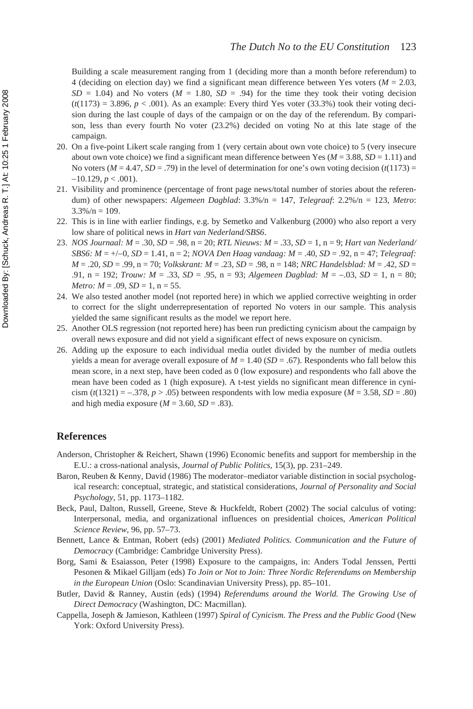Building a scale measurement ranging from 1 (deciding more than a month before referendum) to 4 (deciding on election day) we find a significant mean difference between Yes voters ( $M = 2.03$ ,  $SD = 1.04$ ) and No voters ( $M = 1.80$ ,  $SD = .94$ ) for the time they took their voting decision  $(t(1173) = 3.896, p < .001)$ . As an example: Every third Yes voter (33.3%) took their voting decision during the last couple of days of the campaign or on the day of the referendum. By comparison, less than every fourth No voter (23.2%) decided on voting No at this late stage of the campaign.

- 20. On a five-point Likert scale ranging from 1 (very certain about own vote choice) to 5 (very insecure about own vote choice) we find a significant mean difference between Yes ( $M = 3.88$ ,  $SD = 1.11$ ) and No voters ( $M = 4.47$ ,  $SD = .79$ ) in the level of determination for one's own voting decision ( $t(1173)$ ) −10.129, *p* < .001).
- 21. Visibility and prominence (percentage of front page news/total number of stories about the referendum) of other newspapers: *Algemeen Dagblad*: 3.3%/n = 147, *Telegraaf*: 2.2%/n = 123, *Metro*:  $3.3\%/n = 109$ .
- 22. This is in line with earlier findings, e.g. by Semetko and Valkenburg (2000) who also report a very low share of political news in *Hart van Nederland/SBS6*.
- 23. *NOS Journaal: M* = .30, *SD* = .98, n = 20; *RTL Nieuws: M* = .33, *SD* = 1, n = 9; *Hart van Nederland/ SBS6: M* = +/−0, *SD* = 1.41, n = 2; *NOVA Den Haag vandaag: M* = .40, *SD* = .92, n = 47; *Telegraaf: M* = .20, *SD* = .99, n = 70; *Volkskrant: M* = .23, *SD* = .98, n = 148; *NRC Handelsblad: M* = .42, *SD* = .91, n = 192; *Trouw: M* = .33, *SD* = .95, n = 93; *Algemeen Dagblad: M* = −.03, *SD* = 1, n = 80; *Metro:*  $M = .09$ ,  $SD = 1$ ,  $n = 55$ .
- 24. We also tested another model (not reported here) in which we applied corrective weighting in order to correct for the slight underrepresentation of reported No voters in our sample. This analysis yielded the same significant results as the model we report here.
- 25. Another OLS regression (not reported here) has been run predicting cynicism about the campaign by overall news exposure and did not yield a significant effect of news exposure on cynicism.
- 26. Adding up the exposure to each individual media outlet divided by the number of media outlets yields a mean for average overall exposure of  $M = 1.40$  ( $SD = .67$ ). Respondents who fall below this mean score, in a next step, have been coded as 0 (low exposure) and respondents who fall above the mean have been coded as 1 (high exposure). A t-test yields no significant mean difference in cynicism (*t*(1321) = −.378, *p* > .05) between respondents with low media exposure (*M* = 3.58, *SD* = .80) and high media exposure  $(M = 3.60, SD = .83)$ .

#### **References**

- Anderson, Christopher & Reichert, Shawn (1996) Economic benefits and support for membership in the E.U.: a cross-national analysis, *Journal of Public Politics,* 15(3), pp. 231–249.
- Baron, Reuben & Kenny, David (1986) The moderator–mediator variable distinction in social psychological research: conceptual, strategic, and statistical considerations, *Journal of Personality and Social Psychology,* 51, pp. 1173–1182.
- Beck, Paul, Dalton, Russell, Greene, Steve & Huckfeldt, Robert (2002) The social calculus of voting: Interpersonal, media, and organizational influences on presidential choices, *American Political Science Review,* 96, pp. 57–73.
- Bennett, Lance & Entman, Robert (eds) (2001) *Mediated Politics. Communication and the Future of Democracy* (Cambridge: Cambridge University Press).
- Borg, Sami & Esaiasson, Peter (1998) Exposure to the campaigns, in: Anders Todal Jenssen, Pertti Pesonen & Mikael Gilljam (eds) *To Join or Not to Join: Three Nordic Referendums on Membership in the European Union* (Oslo: Scandinavian University Press), pp. 85–101.
- Butler, David & Ranney, Austin (eds) (1994) *Referendums around the World. The Growing Use of Direct Democracy* (Washington, DC: Macmillan).
- Cappella, Joseph & Jamieson, Kathleen (1997) *Spiral of Cynicism. The Press and the Public Good* (New York: Oxford University Press).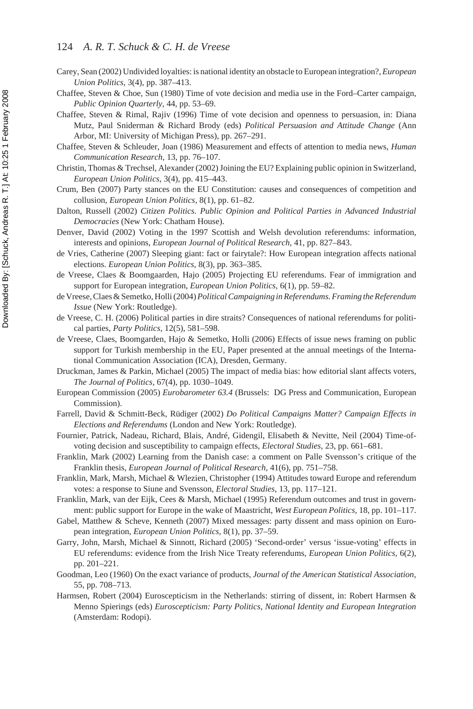- Carey, Sean (2002) Undivided loyalties: is national identity an obstacle to European integration?, *European Union Politics,* 3(4), pp. 387–413.
- Chaffee, Steven & Choe, Sun (1980) Time of vote decision and media use in the Ford–Carter campaign, *Public Opinion Quarterly,* 44, pp. 53–69.
- Chaffee, Steven & Rimal, Rajiv (1996) Time of vote decision and openness to persuasion, in: Diana Mutz, Paul Sniderman & Richard Brody (eds) *Political Persuasion and Attitude Change* (Ann Arbor, MI: University of Michigan Press), pp. 267–291.
- Chaffee, Steven & Schleuder, Joan (1986) Measurement and effects of attention to media news, *Human Communication Research,* 13, pp. 76–107.
- Christin, Thomas & Trechsel, Alexander (2002) Joining the EU? Explaining public opinion in Switzerland, *European Union Politics,* 3(4), pp. 415–443.
- Crum, Ben (2007) Party stances on the EU Constitution: causes and consequences of competition and collusion, *European Union Politics,* 8(1), pp. 61–82.
- Dalton, Russell (2002) *Citizen Politics. Public Opinion and Political Parties in Advanced Industrial Democracies* (New York: Chatham House).
- Denver, David (2002) Voting in the 1997 Scottish and Welsh devolution referendums: information, interests and opinions, *European Journal of Political Research,* 41, pp. 827–843.
- de Vries, Catherine (2007) Sleeping giant: fact or fairytale?: How European integration affects national elections. *European Union Politics,* 8(3), pp. 363–385.
- de Vreese, Claes & Boomgaarden, Hajo (2005) Projecting EU referendums. Fear of immigration and support for European integration, *European Union Politics,* 6(1), pp. 59–82.
- de Vreese, Claes & Semetko, Holli (2004)*Political Campaigning in Referendums. Framing the Referendum Issue* (New York: Routledge).
- de Vreese, C. H. (2006) Political parties in dire straits? Consequences of national referendums for political parties, *Party Politics,* 12(5), 581–598.
- de Vreese, Claes, Boomgarden, Hajo & Semetko, Holli (2006) Effects of issue news framing on public support for Turkish membership in the EU, Paper presented at the annual meetings of the International Communication Association (ICA), Dresden, Germany.
- Druckman, James & Parkin, Michael (2005) The impact of media bias: how editorial slant affects voters, *The Journal of Politics,* 67(4), pp. 1030–1049.
- European Commission (2005) *Eurobarometer 63.4* (Brussels: DG Press and Communication, European Commission).
- Farrell, David & Schmitt-Beck, Rüdiger (2002) *Do Political Campaigns Matter? Campaign Effects in Elections and Referendums* (London and New York: Routledge).
- Fournier, Patrick, Nadeau, Richard, Blais, André, Gidengil, Elisabeth & Nevitte, Neil (2004) Time-ofvoting decision and susceptibility to campaign effects, *Electoral Studies,* 23, pp. 661–681.
- Franklin, Mark (2002) Learning from the Danish case: a comment on Palle Svensson's critique of the Franklin thesis, *European Journal of Political Research,* 41(6), pp. 751–758.
- Franklin, Mark, Marsh, Michael & Wlezien, Christopher (1994) Attitudes toward Europe and referendum votes: a response to Siune and Svensson, *Electoral Studies,* 13, pp. 117–121.
- Franklin, Mark, van der Eijk, Cees & Marsh, Michael (1995) Referendum outcomes and trust in government: public support for Europe in the wake of Maastricht, *West European Politics,* 18, pp. 101–117.
- Gabel, Matthew & Scheve, Kenneth (2007) Mixed messages: party dissent and mass opinion on European integration, *European Union Politics,* 8(1), pp. 37–59.
- Garry, John, Marsh, Michael & Sinnott, Richard (2005) 'Second-order' versus 'issue-voting' effects in EU referendums: evidence from the Irish Nice Treaty referendums, *European Union Politics,* 6(2), pp. 201–221.
- Goodman, Leo (1960) On the exact variance of products, *Journal of the American Statistical Association,* 55, pp. 708–713.
- Harmsen, Robert (2004) Euroscepticism in the Netherlands: stirring of dissent, in: Robert Harmsen & Menno Spierings (eds) *Euroscepticism: Party Politics, National Identity and European Integration* (Amsterdam: Rodopi).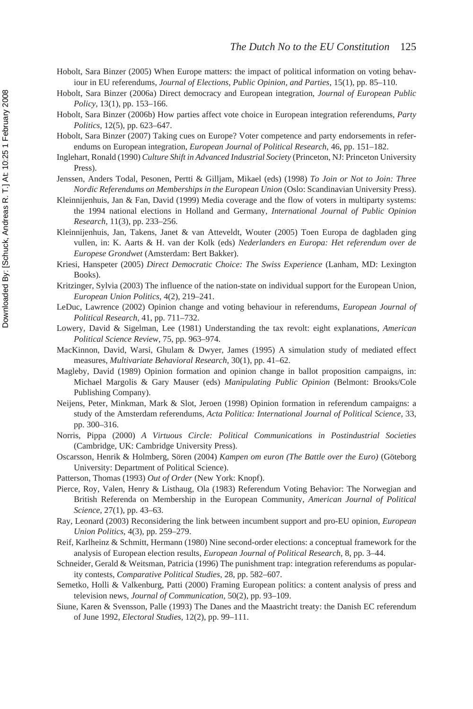- Hobolt, Sara Binzer (2005) When Europe matters: the impact of political information on voting behaviour in EU referendums, *Journal of Elections, Public Opinion, and Parties,* 15(1), pp. 85–110.
- Hobolt, Sara Binzer (2006a) Direct democracy and European integration, *Journal of European Public Policy,* 13(1), pp. 153–166.
- Hobolt, Sara Binzer (2006b) How parties affect vote choice in European integration referendums, *Party Politics,* 12(5), pp. 623–647.
- Hobolt, Sara Binzer (2007) Taking cues on Europe? Voter competence and party endorsements in referendums on European integration, *European Journal of Political Research,* 46, pp. 151–182.
- Inglehart, Ronald (1990) *Culture Shift in Advanced Industrial Society* (Princeton, NJ: Princeton University Press).
- Jenssen, Anders Todal, Pesonen, Pertti & Gilljam, Mikael (eds) (1998) *To Join or Not to Join: Three Nordic Referendums on Memberships in the European Union* (Oslo: Scandinavian University Press).
- Kleinnijenhuis, Jan & Fan, David (1999) Media coverage and the flow of voters in multiparty systems: the 1994 national elections in Holland and Germany, *International Journal of Public Opinion Research,* 11(3), pp. 233–256.
- Kleinnijenhuis, Jan, Takens, Janet & van Atteveldt, Wouter (2005) Toen Europa de dagbladen ging vullen, in: K. Aarts & H. van der Kolk (eds) *Nederlanders en Europa: Het referendum over de Europese Grondwet* (Amsterdam: Bert Bakker).
- Kriesi, Hanspeter (2005) *Direct Democratic Choice: The Swiss Experience* (Lanham, MD: Lexington Books).
- Kritzinger, Sylvia (2003) The influence of the nation-state on individual support for the European Union, *European Union Politics,* 4(2), 219–241.
- LeDuc, Lawrence (2002) Opinion change and voting behaviour in referendums, *European Journal of Political Research,* 41, pp. 711–732.
- Lowery, David & Sigelman, Lee (1981) Understanding the tax revolt: eight explanations, *American Political Science Review,* 75, pp. 963–974.
- MacKinnon, David, Warsi, Ghulam & Dwyer, James (1995) A simulation study of mediated effect measures, *Multivariate Behavioral Research,* 30(1), pp. 41–62.
- Magleby, David (1989) Opinion formation and opinion change in ballot proposition campaigns, in: Michael Margolis & Gary Mauser (eds) *Manipulating Public Opinion* (Belmont: Brooks/Cole Publishing Company).
- Neijens, Peter, Minkman, Mark & Slot, Jeroen (1998) Opinion formation in referendum campaigns: a study of the Amsterdam referendums, *Acta Politica: International Journal of Political Science,* 33, pp. 300–316.
- Norris, Pippa (2000) *A Virtuous Circle: Political Communications in Postindustrial Societies* (Cambridge, UK: Cambridge University Press).
- Oscarsson, Henrik & Holmberg, Sören (2004) *Kampen om euron (The Battle over the Euro)* (Göteborg University: Department of Political Science).
- Patterson, Thomas (1993) *Out of Order* (New York: Knopf).
- Pierce, Roy, Valen, Henry & Listhaug, Ola (1983) Referendum Voting Behavior: The Norwegian and British Referenda on Membership in the European Community, *American Journal of Political Science,* 27(1), pp. 43–63.
- Ray, Leonard (2003) Reconsidering the link between incumbent support and pro-EU opinion, *European Union Politics,* 4(3), pp. 259–279.
- Reif, Karlheinz & Schmitt, Hermann (1980) Nine second-order elections: a conceptual framework for the analysis of European election results, *European Journal of Political Research,* 8, pp. 3–44.
- Schneider, Gerald & Weitsman, Patricia (1996) The punishment trap: integration referendums as popularity contests, *Comparative Political Studies,* 28, pp. 582–607.
- Semetko, Holli & Valkenburg, Patti (2000) Framing European politics: a content analysis of press and television news, *Journal of Communication,* 50(2), pp. 93–109.
- Siune, Karen & Svensson, Palle (1993) The Danes and the Maastricht treaty: the Danish EC referendum of June 1992, *Electoral Studies,* 12(2), pp. 99–111.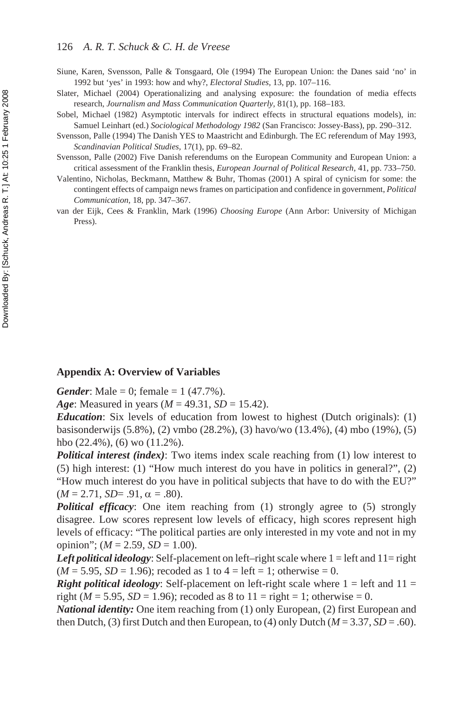- Siune, Karen, Svensson, Palle & Tonsgaard, Ole (1994) The European Union: the Danes said 'no' in 1992 but 'yes' in 1993: how and why?, *Electoral Studies,* 13, pp. 107–116.
- Slater, Michael (2004) Operationalizing and analysing exposure: the foundation of media effects research, *Journalism and Mass Communication Quarterly,* 81(1), pp. 168–183.
- Sobel, Michael (1982) Asymptotic intervals for indirect effects in structural equations models), in: Samuel Leinhart (ed.) *Sociological Methodology 1982* (San Francisco: Jossey-Bass), pp. 290–312.
- Svensson, Palle (1994) The Danish YES to Maastricht and Edinburgh. The EC referendum of May 1993, *Scandinavian Political Studies,* 17(1), pp. 69–82.
- Svensson, Palle (2002) Five Danish referendums on the European Community and European Union: a critical assessment of the Franklin thesis, *European Journal of Political Research,* 41, pp. 733–750.
- Valentino, Nicholas, Beckmann, Matthew & Buhr, Thomas (2001) A spiral of cynicism for some: the contingent effects of campaign news frames on participation and confidence in government, *Political Communication,* 18, pp. 347–367.
- van der Eijk, Cees & Franklin, Mark (1996) *Choosing Europe* (Ann Arbor: University of Michigan Press).

#### **Appendix A: Overview of Variables**

*Gender*: Male = 0; female = 1 (47.7%).

*Age*: Measured in years (*M* = 49.31, *SD* = 15.42).

*Education*: Six levels of education from lowest to highest (Dutch originals): (1) basisonderwijs (5.8%), (2) vmbo (28.2%), (3) havo/wo (13.4%), (4) mbo (19%), (5) hbo (22.4%), (6) wo (11.2%).

*Political interest (index)*: Two items index scale reaching from (1) low interest to (5) high interest: (1) "How much interest do you have in politics in general?", (2) "How much interest do you have in political subjects that have to do with the EU?"  $(M = 2.71, SD = .91, \alpha = .80).$ 

*Political efficacy*: One item reaching from (1) strongly agree to (5) strongly disagree. Low scores represent low levels of efficacy, high scores represent high levels of efficacy: "The political parties are only interested in my vote and not in my opinion";  $(M = 2.59, SD = 1.00)$ .

*Left political ideology*: Self-placement on left–right scale where  $1 =$  left and  $11 =$  right  $(M = 5.95, SD = 1.96)$ ; recoded as 1 to  $4 = left = 1$ ; otherwise = 0.

*Right political ideology*: Self-placement on left-right scale where  $1 =$  left and  $11 =$ right ( $M = 5.95$ ,  $SD = 1.96$ ); recoded as 8 to 11 = right = 1; otherwise = 0.

*National identity:* One item reaching from (1) only European, (2) first European and then Dutch, (3) first Dutch and then European, to (4) only Dutch  $(M = 3.37, SD = .60)$ .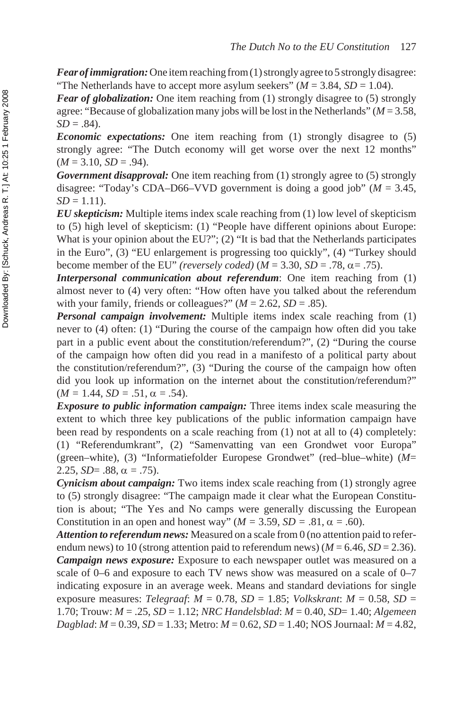*Fear of immigration:* One item reaching from (1) strongly agree to 5 strongly disagree: "The Netherlands have to accept more asylum seekers"  $(M = 3.84, SD = 1.04)$ .

*Fear of globalization:* One item reaching from (1) strongly disagree to (5) strongly agree: "Because of globalization many jobs will be lost in the Netherlands" (*M* = 3.58,  $SD = .84$ ).

*Economic expectations:* One item reaching from (1) strongly disagree to (5) strongly agree: "The Dutch economy will get worse over the next 12 months"  $(M = 3.10, SD = .94)$ .

*Government disapproval:* One item reaching from (1) strongly agree to (5) strongly disagree: "Today's CDA–D66–VVD government is doing a good job" (*M* = 3.45,  $SD = 1.11$ .

*EU skepticism:* Multiple items index scale reaching from (1) low level of skepticism to (5) high level of skepticism: (1) "People have different opinions about Europe: What is your opinion about the EU?"; (2) "It is bad that the Netherlands participates in the Euro", (3) "EU enlargement is progressing too quickly", (4) "Turkey should become member of the EU" *(reversely coded)*  $(M = 3.30, SD = .78, \alpha = .75)$ .

*Interpersonal communication about referendum*: One item reaching from (1) almost never to (4) very often: "How often have you talked about the referendum with your family, friends or colleagues?"  $(M = 2.62, SD = .85)$ .

*Personal campaign involvement:* Multiple items index scale reaching from (1) never to (4) often: (1) "During the course of the campaign how often did you take part in a public event about the constitution/referendum?", (2) "During the course of the campaign how often did you read in a manifesto of a political party about the constitution/referendum?", (3) "During the course of the campaign how often did you look up information on the internet about the constitution/referendum?"  $(M = 1.44, SD = .51, \alpha = .54).$ 

*Exposure to public information campaign:* Three items index scale measuring the extent to which three key publications of the public information campaign have been read by respondents on a scale reaching from (1) not at all to (4) completely: (1) "Referendumkrant", (2) "Samenvatting van een Grondwet voor Europa" (green–white), (3) "Informatiefolder Europese Grondwet" (red–blue–white) (*M*= 2.25, *SD*=  $.88$ ,  $\alpha$  =  $.75$ ).

*Cynicism about campaign:* Two items index scale reaching from (1) strongly agree to (5) strongly disagree: "The campaign made it clear what the European Constitution is about; "The Yes and No camps were generally discussing the European Constitution in an open and honest way" ( $M = 3.59$ ,  $SD = .81$ ,  $\alpha = .60$ ).

*Attention to referendum news:* Measured on a scale from 0 (no attention paid to referendum news) to 10 (strong attention paid to referendum news)  $(M = 6.46, SD = 2.36)$ . *Campaign news exposure:* Exposure to each newspaper outlet was measured on a scale of 0–6 and exposure to each TV news show was measured on a scale of 0–7 indicating exposure in an average week. Means and standard deviations for single exposure measures: *Telegraaf*:  $M = 0.78$ ,  $SD = 1.85$ ; *Volkskrant*:  $M = 0.58$ ,  $SD =$ 1.70; Trouw: *M* = .25, *SD* = 1.12; *NRC Handelsblad*: *M* = 0.40, *SD*= 1.40; *Algemeen Dagblad*: *M* = 0.39, *SD* = 1.33; Metro: *M* = 0.62, *SD* = 1.40; NOS Journaal: *M* = 4.82,